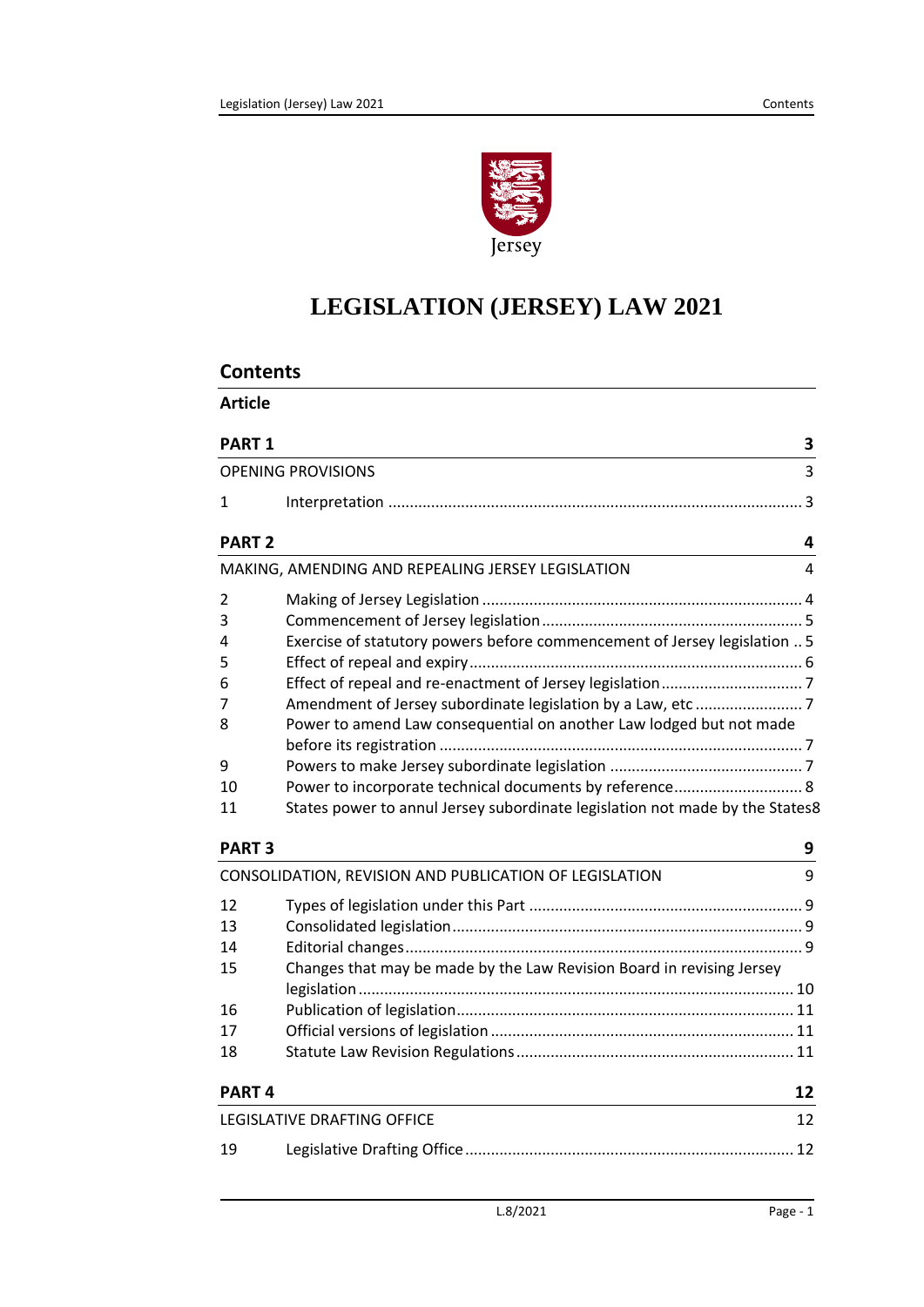

# **LEGISLATION (JERSEY) LAW 2021**

| <b>Article</b>    |                                                                              |    |
|-------------------|------------------------------------------------------------------------------|----|
| PART <sub>1</sub> |                                                                              | 3  |
|                   | <b>OPENING PROVISIONS</b>                                                    | 3  |
| $\mathbf{1}$      |                                                                              |    |
| <b>PART 2</b>     |                                                                              | 4  |
|                   | MAKING, AMENDING AND REPEALING JERSEY LEGISLATION                            | 4  |
| 2                 |                                                                              |    |
| 3                 |                                                                              |    |
| 4                 | Exercise of statutory powers before commencement of Jersey legislation  5    |    |
| 5                 |                                                                              |    |
| 6                 |                                                                              |    |
| 7                 |                                                                              |    |
| 8                 | Power to amend Law consequential on another Law lodged but not made          |    |
|                   |                                                                              |    |
| 9                 |                                                                              |    |
| 10                | Power to incorporate technical documents by reference 8                      |    |
| 11                | States power to annul Jersey subordinate legislation not made by the States8 |    |
| <b>PART 3</b>     |                                                                              | 9  |
|                   | CONSOLIDATION, REVISION AND PUBLICATION OF LEGISLATION                       | 9  |
| 12                |                                                                              |    |
| 13                |                                                                              |    |
| 14                |                                                                              |    |
| 15                | Changes that may be made by the Law Revision Board in revising Jersey        |    |
|                   |                                                                              |    |
| 16                |                                                                              |    |
| 17                |                                                                              |    |
| 18                |                                                                              |    |
| <b>PART4</b>      |                                                                              | 12 |
|                   | LEGISLATIVE DRAFTING OFFICE                                                  | 12 |
| 19                |                                                                              |    |
|                   |                                                                              |    |

#### L.8/2021 Page - 1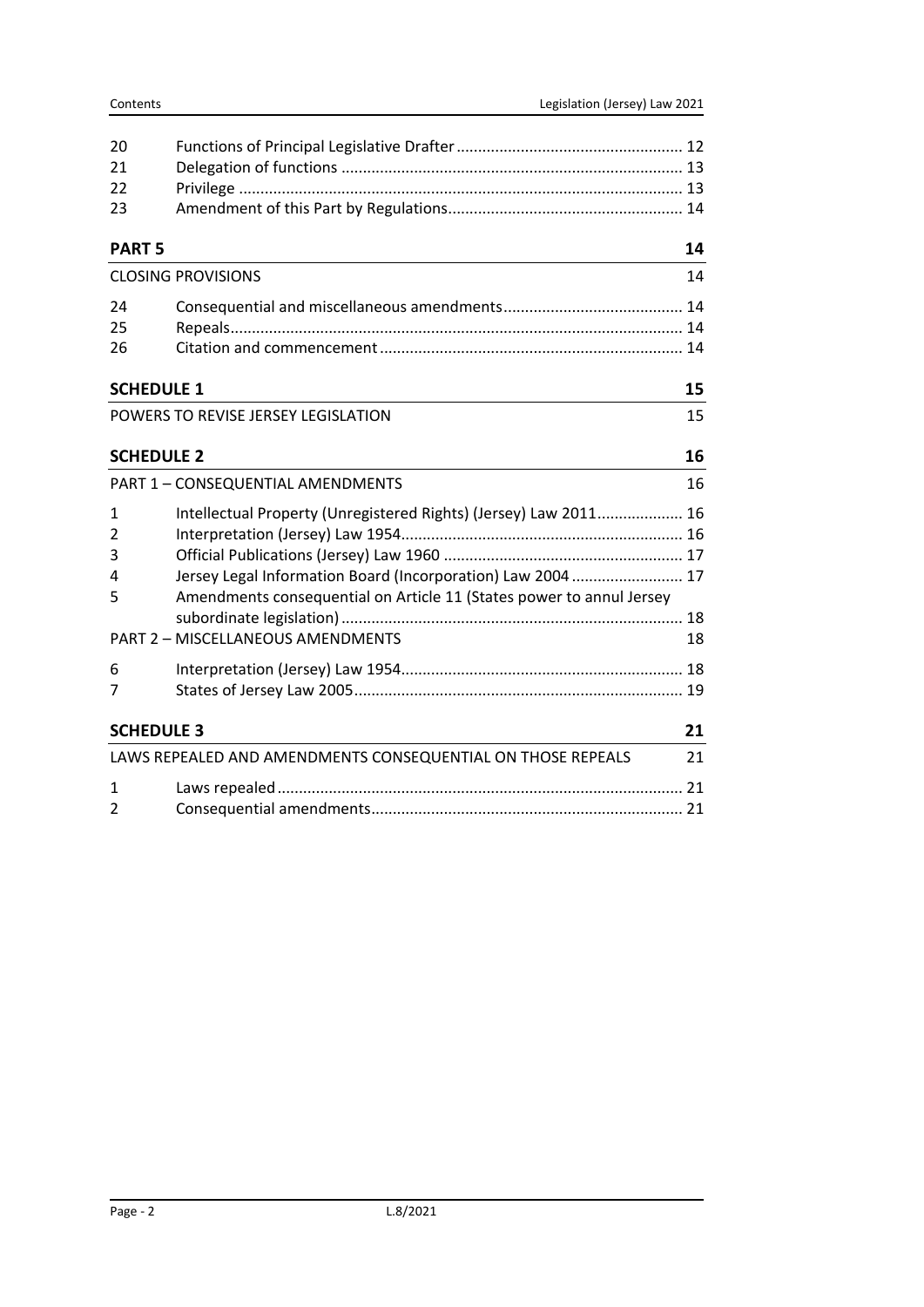| Contents          |                                                                                                                                                                                                                                                                                                                                           | Legislation (Jersey) Law 2021 |
|-------------------|-------------------------------------------------------------------------------------------------------------------------------------------------------------------------------------------------------------------------------------------------------------------------------------------------------------------------------------------|-------------------------------|
| 20                |                                                                                                                                                                                                                                                                                                                                           |                               |
| 21                |                                                                                                                                                                                                                                                                                                                                           |                               |
| 22                |                                                                                                                                                                                                                                                                                                                                           |                               |
| 23                |                                                                                                                                                                                                                                                                                                                                           |                               |
| <b>PART 5</b>     |                                                                                                                                                                                                                                                                                                                                           | 14                            |
|                   | <b>CLOSING PROVISIONS</b>                                                                                                                                                                                                                                                                                                                 | 14                            |
| 24                |                                                                                                                                                                                                                                                                                                                                           |                               |
| 25                |                                                                                                                                                                                                                                                                                                                                           |                               |
| 26                |                                                                                                                                                                                                                                                                                                                                           |                               |
| <b>SCHEDULE 1</b> |                                                                                                                                                                                                                                                                                                                                           | 15                            |
|                   | POWERS TO REVISE JERSEY LEGISLATION                                                                                                                                                                                                                                                                                                       | 15                            |
|                   | <b>SCHEDULE 2</b>                                                                                                                                                                                                                                                                                                                         | 16                            |
|                   | PART 1 - CONSEQUENTIAL AMENDMENTS                                                                                                                                                                                                                                                                                                         | 16                            |
| 1                 | Intellectual Property (Unregistered Rights) (Jersey) Law 2011 16                                                                                                                                                                                                                                                                          |                               |
|                   | $\mathbf{1}$ . $\mathbf{1}$ . $\mathbf{1}$ . $\mathbf{1}$ . $\mathbf{1}$ . $\mathbf{1}$ . $\mathbf{1}$ . $\mathbf{1}$ . $\mathbf{1}$ . $\mathbf{1}$ . $\mathbf{1}$ . $\mathbf{1}$ . $\mathbf{1}$ . $\mathbf{1}$ . $\mathbf{1}$ . $\mathbf{1}$ . $\mathbf{1}$ . $\mathbf{1}$ . $\mathbf{1}$ . $\mathbf{1}$ . $\mathbf{1}$ . $\mathbf{1}$ . | $\sim$                        |

|                   | PART 1 - CONSEQUENTIAL AMENDMENTS                                    | 16 |
|-------------------|----------------------------------------------------------------------|----|
| $\mathbf{1}$      | Intellectual Property (Unregistered Rights) (Jersey) Law 2011 16     |    |
| 2                 |                                                                      |    |
| 3                 |                                                                      |    |
| 4                 | Jersey Legal Information Board (Incorporation) Law 2004  17          |    |
| 5                 | Amendments consequential on Article 11 (States power to annul Jersey |    |
|                   | PART 2 - MISCELLANEOUS AMENDMENTS                                    | 18 |
| 6                 |                                                                      |    |
| 7                 |                                                                      |    |
|                   |                                                                      |    |
| <b>SCHEDULE 3</b> |                                                                      | 21 |
|                   | LAWS REPEALED AND AMENDMENTS CONSEQUENTIAL ON THOSE REPEALS          | 21 |
| $\mathbf{1}$      |                                                                      |    |
| $\mathfrak{p}$    |                                                                      |    |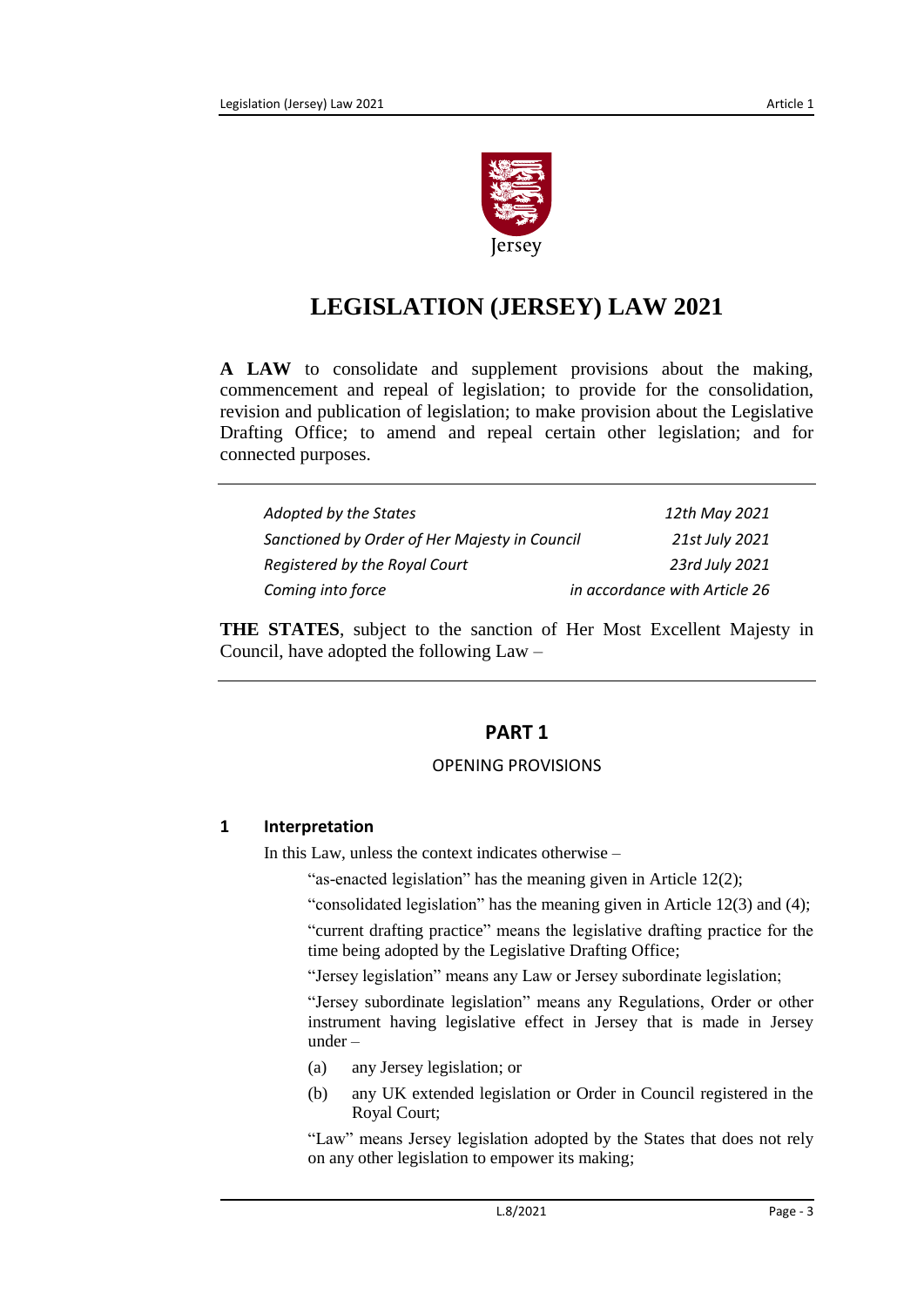

# **LEGISLATION (JERSEY) LAW 2021**

**A LAW** to consolidate and supplement provisions about the making, commencement and repeal of legislation; to provide for the consolidation, revision and publication of legislation; to make provision about the Legislative Drafting Office; to amend and repeal certain other legislation; and for connected purposes.

| Adopted by the States                         | 12th May 2021                 |
|-----------------------------------------------|-------------------------------|
| Sanctioned by Order of Her Majesty in Council | 21st July 2021                |
| Registered by the Royal Court                 | 23rd July 2021                |
| Coming into force                             | in accordance with Article 26 |

<span id="page-2-0"></span>**THE STATES**, subject to the sanction of Her Most Excellent Majesty in Council, have adopted the following Law –

# **PART 1**

#### OPENING PROVISIONS

#### <span id="page-2-2"></span><span id="page-2-1"></span>**1 Interpretation**

In this Law, unless the context indicates otherwise –

"as-enacted legislation" has the meaning given in Article 12(2);

"consolidated legislation" has the meaning given in Article 12(3) and (4);

"current drafting practice" means the legislative drafting practice for the time being adopted by the Legislative Drafting Office;

"Jersey legislation" means any Law or Jersey subordinate legislation;

"Jersey subordinate legislation" means any Regulations, Order or other instrument having legislative effect in Jersey that is made in Jersey under –

- (a) any Jersey legislation; or
- (b) any UK extended legislation or Order in Council registered in the Royal Court;

"Law" means Jersey legislation adopted by the States that does not rely on any other legislation to empower its making;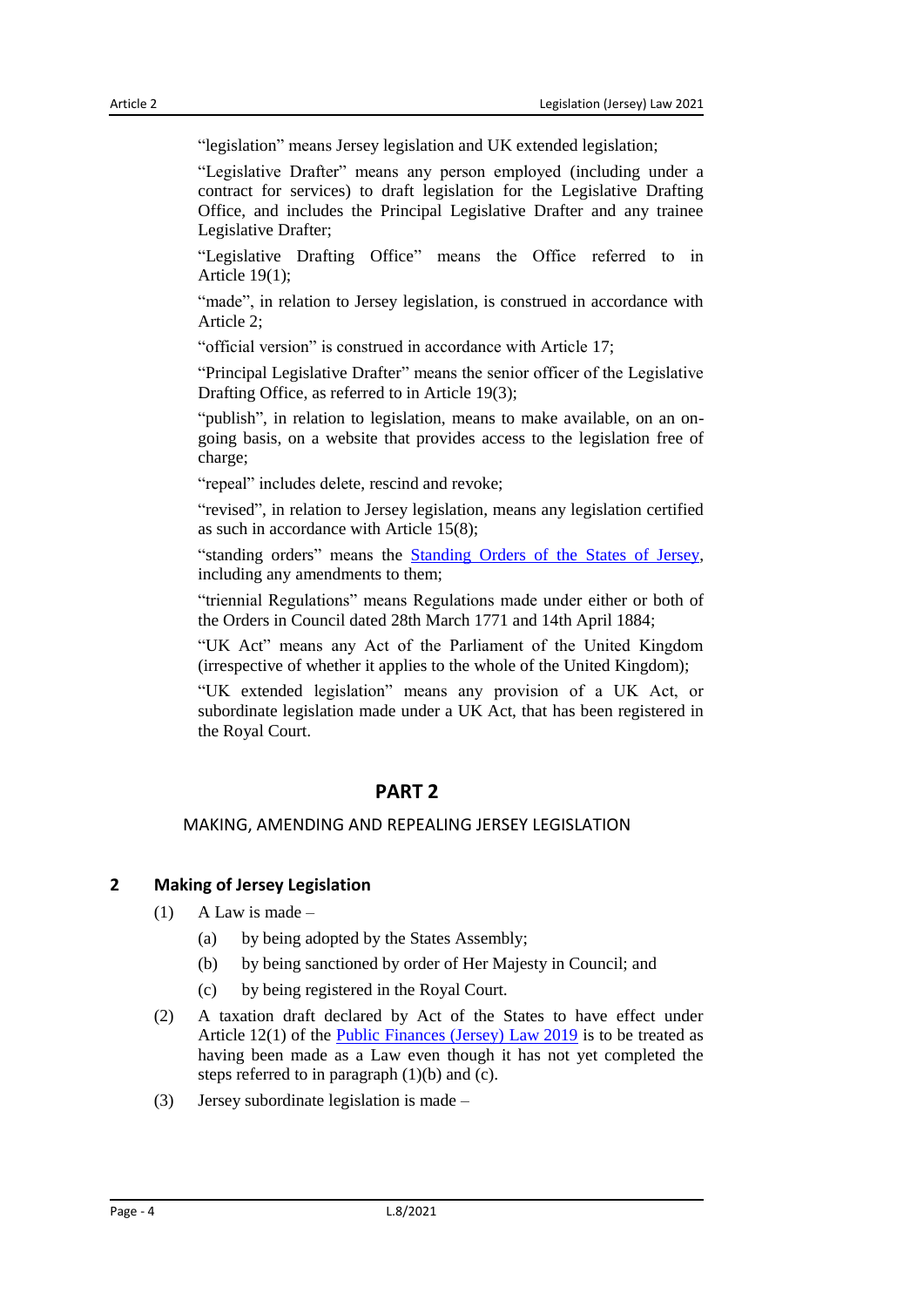"legislation" means Jersey legislation and UK extended legislation;

"Legislative Drafter" means any person employed (including under a contract for services) to draft legislation for the Legislative Drafting Office, and includes the Principal Legislative Drafter and any trainee Legislative Drafter;

"Legislative Drafting Office" means the Office referred to in Article 19(1);

"made", in relation to Jersey legislation, is construed in accordance with Article 2;

"official version" is construed in accordance with Article 17;

"Principal Legislative Drafter" means the senior officer of the Legislative Drafting Office, as referred to in Article 19(3);

"publish", in relation to legislation, means to make available, on an ongoing basis, on a website that provides access to the legislation free of charge;

"repeal" includes delete, rescind and revoke;

"revised", in relation to Jersey legislation, means any legislation certified as such in accordance with Article 15(8);

"standing orders" means the [Standing Orders of the States of Jersey,](https://www.jerseylaw.je/laws/unofficialconsolidated/Pages/16.800.15.aspx) including any amendments to them;

"triennial Regulations" means Regulations made under either or both of the Orders in Council dated 28th March 1771 and 14th April 1884;

"UK Act" means any Act of the Parliament of the United Kingdom (irrespective of whether it applies to the whole of the United Kingdom);

"UK extended legislation" means any provision of a UK Act, or subordinate legislation made under a UK Act, that has been registered in the Royal Court.

# **PART 2**

#### <span id="page-3-0"></span>MAKING, AMENDING AND REPEALING JERSEY LEGISLATION

# <span id="page-3-2"></span><span id="page-3-1"></span>**2 Making of Jersey Legislation**

- $(1)$  A Law is made
	- (a) by being adopted by the States Assembly;
	- (b) by being sanctioned by order of Her Majesty in Council; and
	- (c) by being registered in the Royal Court.
- (2) A taxation draft declared by Act of the States to have effect under Article 12(1) of the [Public Finances \(Jersey\) Law](https://www.jerseylaw.je/laws/unofficialconsolidated/Pages/24.900.aspx) 2019 is to be treated as having been made as a Law even though it has not yet completed the steps referred to in paragraph (1)(b) and (c).
- (3) Jersey subordinate legislation is made –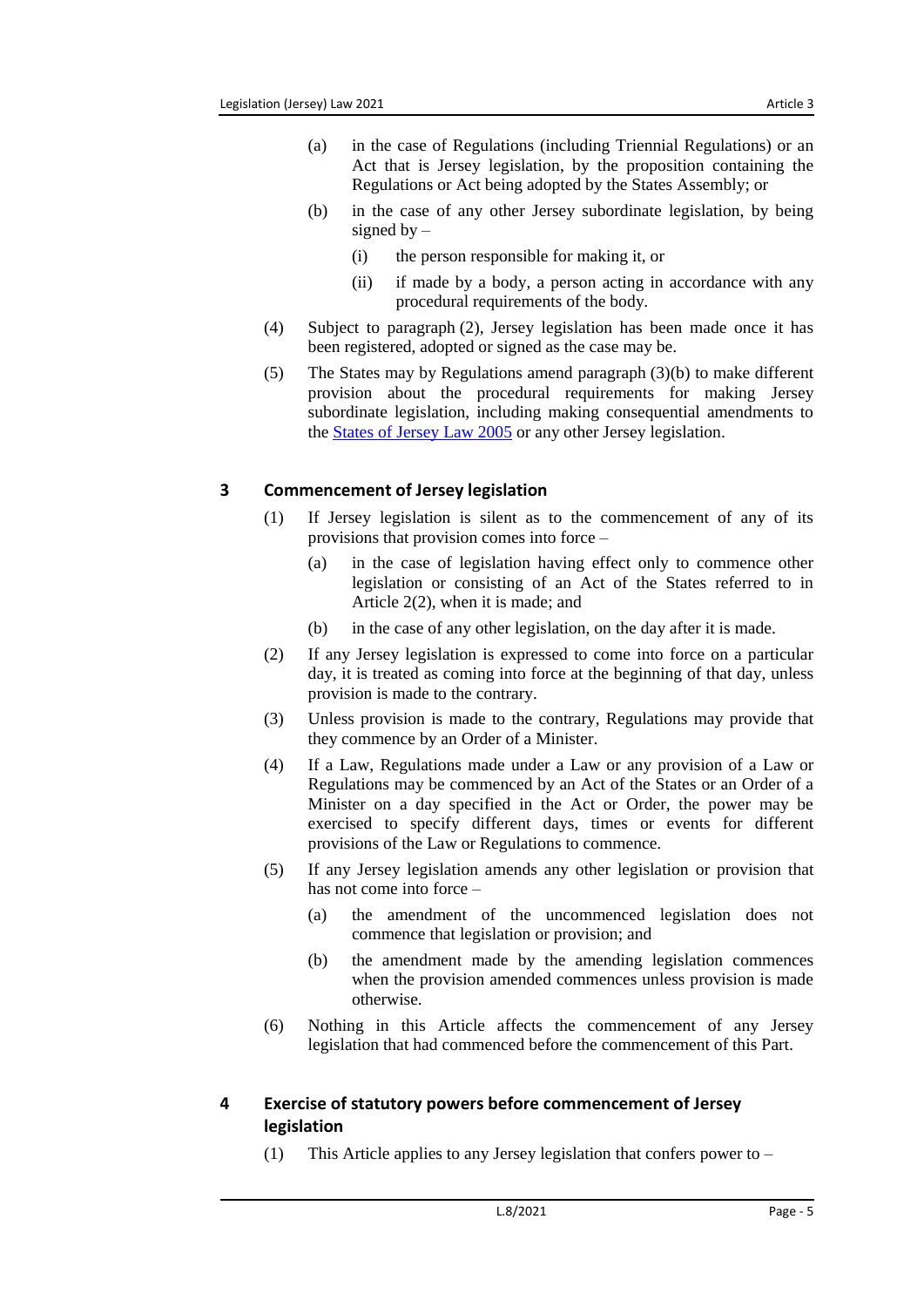- (a) in the case of Regulations (including Triennial Regulations) or an Act that is Jersey legislation, by the proposition containing the Regulations or Act being adopted by the States Assembly; or
- (b) in the case of any other Jersey subordinate legislation, by being signed by  $-$ 
	- (i) the person responsible for making it, or
	- (ii) if made by a body, a person acting in accordance with any procedural requirements of the body.
- (4) Subject to paragraph (2), Jersey legislation has been made once it has been registered, adopted or signed as the case may be.
- (5) The States may by Regulations amend paragraph (3)(b) to make different provision about the procedural requirements for making Jersey subordinate legislation, including making consequential amendments to the [States of Jersey Law](https://www.jerseylaw.je/laws/unofficialconsolidated/Pages/16.800.aspx) 2005 or any other Jersey legislation.

#### <span id="page-4-0"></span>**3 Commencement of Jersey legislation**

- (1) If Jersey legislation is silent as to the commencement of any of its provisions that provision comes into force –
	- (a) in the case of legislation having effect only to commence other legislation or consisting of an Act of the States referred to in Article 2(2), when it is made; and
	- (b) in the case of any other legislation, on the day after it is made.
- (2) If any Jersey legislation is expressed to come into force on a particular day, it is treated as coming into force at the beginning of that day, unless provision is made to the contrary.
- (3) Unless provision is made to the contrary, Regulations may provide that they commence by an Order of a Minister.
- (4) If a Law, Regulations made under a Law or any provision of a Law or Regulations may be commenced by an Act of the States or an Order of a Minister on a day specified in the Act or Order, the power may be exercised to specify different days, times or events for different provisions of the Law or Regulations to commence.
- (5) If any Jersey legislation amends any other legislation or provision that has not come into force –
	- (a) the amendment of the uncommenced legislation does not commence that legislation or provision; and
	- (b) the amendment made by the amending legislation commences when the provision amended commences unless provision is made otherwise.
- (6) Nothing in this Article affects the commencement of any Jersey legislation that had commenced before the commencement of this Part.

# <span id="page-4-1"></span>**4 Exercise of statutory powers before commencement of Jersey legislation**

(1) This Article applies to any Jersey legislation that confers power to –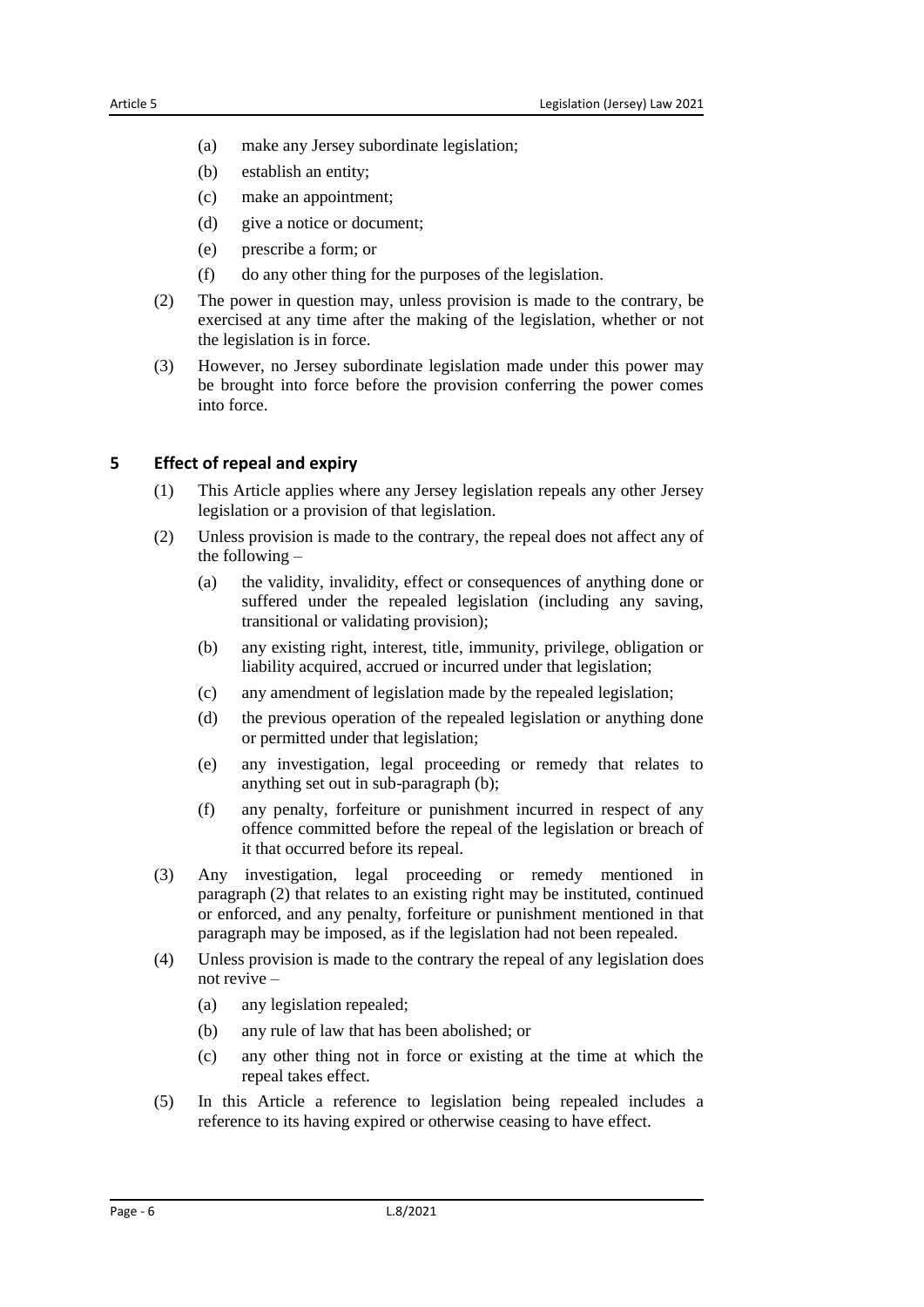- (a) make any Jersey subordinate legislation;
- (b) establish an entity;
- (c) make an appointment;
- (d) give a notice or document;
- (e) prescribe a form; or
- (f) do any other thing for the purposes of the legislation.
- (2) The power in question may, unless provision is made to the contrary, be exercised at any time after the making of the legislation, whether or not the legislation is in force.
- (3) However, no Jersey subordinate legislation made under this power may be brought into force before the provision conferring the power comes into force.

#### <span id="page-5-0"></span>**5 Effect of repeal and expiry**

- (1) This Article applies where any Jersey legislation repeals any other Jersey legislation or a provision of that legislation.
- (2) Unless provision is made to the contrary, the repeal does not affect any of the following –
	- (a) the validity, invalidity, effect or consequences of anything done or suffered under the repealed legislation (including any saving, transitional or validating provision);
	- (b) any existing right, interest, title, immunity, privilege, obligation or liability acquired, accrued or incurred under that legislation;
	- (c) any amendment of legislation made by the repealed legislation;
	- (d) the previous operation of the repealed legislation or anything done or permitted under that legislation;
	- (e) any investigation, legal proceeding or remedy that relates to anything set out in sub-paragraph (b);
	- (f) any penalty, forfeiture or punishment incurred in respect of any offence committed before the repeal of the legislation or breach of it that occurred before its repeal.
- (3) Any investigation, legal proceeding or remedy mentioned in paragraph (2) that relates to an existing right may be instituted, continued or enforced, and any penalty, forfeiture or punishment mentioned in that paragraph may be imposed, as if the legislation had not been repealed.
- (4) Unless provision is made to the contrary the repeal of any legislation does not revive –
	- (a) any legislation repealed;
	- (b) any rule of law that has been abolished; or
	- (c) any other thing not in force or existing at the time at which the repeal takes effect.
- (5) In this Article a reference to legislation being repealed includes a reference to its having expired or otherwise ceasing to have effect.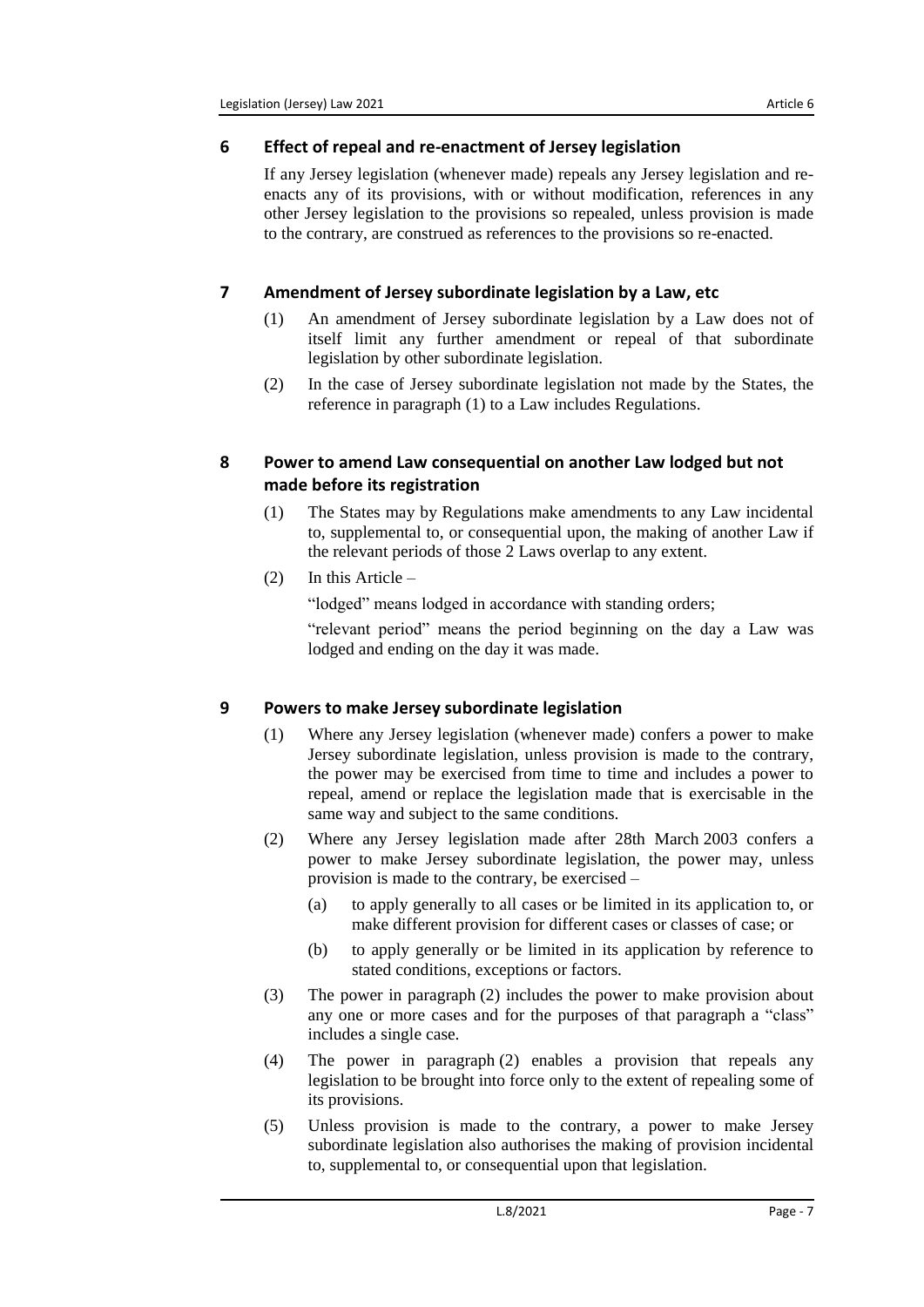# <span id="page-6-0"></span>**6 Effect of repeal and re-enactment of Jersey legislation**

If any Jersey legislation (whenever made) repeals any Jersey legislation and reenacts any of its provisions, with or without modification, references in any other Jersey legislation to the provisions so repealed, unless provision is made to the contrary, are construed as references to the provisions so re-enacted.

# <span id="page-6-1"></span>**7 Amendment of Jersey subordinate legislation by a Law, etc**

- (1) An amendment of Jersey subordinate legislation by a Law does not of itself limit any further amendment or repeal of that subordinate legislation by other subordinate legislation.
- (2) In the case of Jersey subordinate legislation not made by the States, the reference in paragraph (1) to a Law includes Regulations.

## <span id="page-6-2"></span>**8 Power to amend Law consequential on another Law lodged but not made before its registration**

(1) The States may by Regulations make amendments to any Law incidental to, supplemental to, or consequential upon, the making of another Law if the relevant periods of those 2 Laws overlap to any extent.

# (2) In this Article –

"lodged" means lodged in accordance with standing orders;

"relevant period" means the period beginning on the day a Law was lodged and ending on the day it was made.

# <span id="page-6-3"></span>**9 Powers to make Jersey subordinate legislation**

- (1) Where any Jersey legislation (whenever made) confers a power to make Jersey subordinate legislation, unless provision is made to the contrary, the power may be exercised from time to time and includes a power to repeal, amend or replace the legislation made that is exercisable in the same way and subject to the same conditions.
- (2) Where any Jersey legislation made after 28th March 2003 confers a power to make Jersey subordinate legislation, the power may, unless provision is made to the contrary, be exercised –
	- (a) to apply generally to all cases or be limited in its application to, or make different provision for different cases or classes of case; or
	- (b) to apply generally or be limited in its application by reference to stated conditions, exceptions or factors.
- (3) The power in paragraph (2) includes the power to make provision about any one or more cases and for the purposes of that paragraph a "class" includes a single case.
- (4) The power in paragraph (2) enables a provision that repeals any legislation to be brought into force only to the extent of repealing some of its provisions.
- (5) Unless provision is made to the contrary, a power to make Jersey subordinate legislation also authorises the making of provision incidental to, supplemental to, or consequential upon that legislation.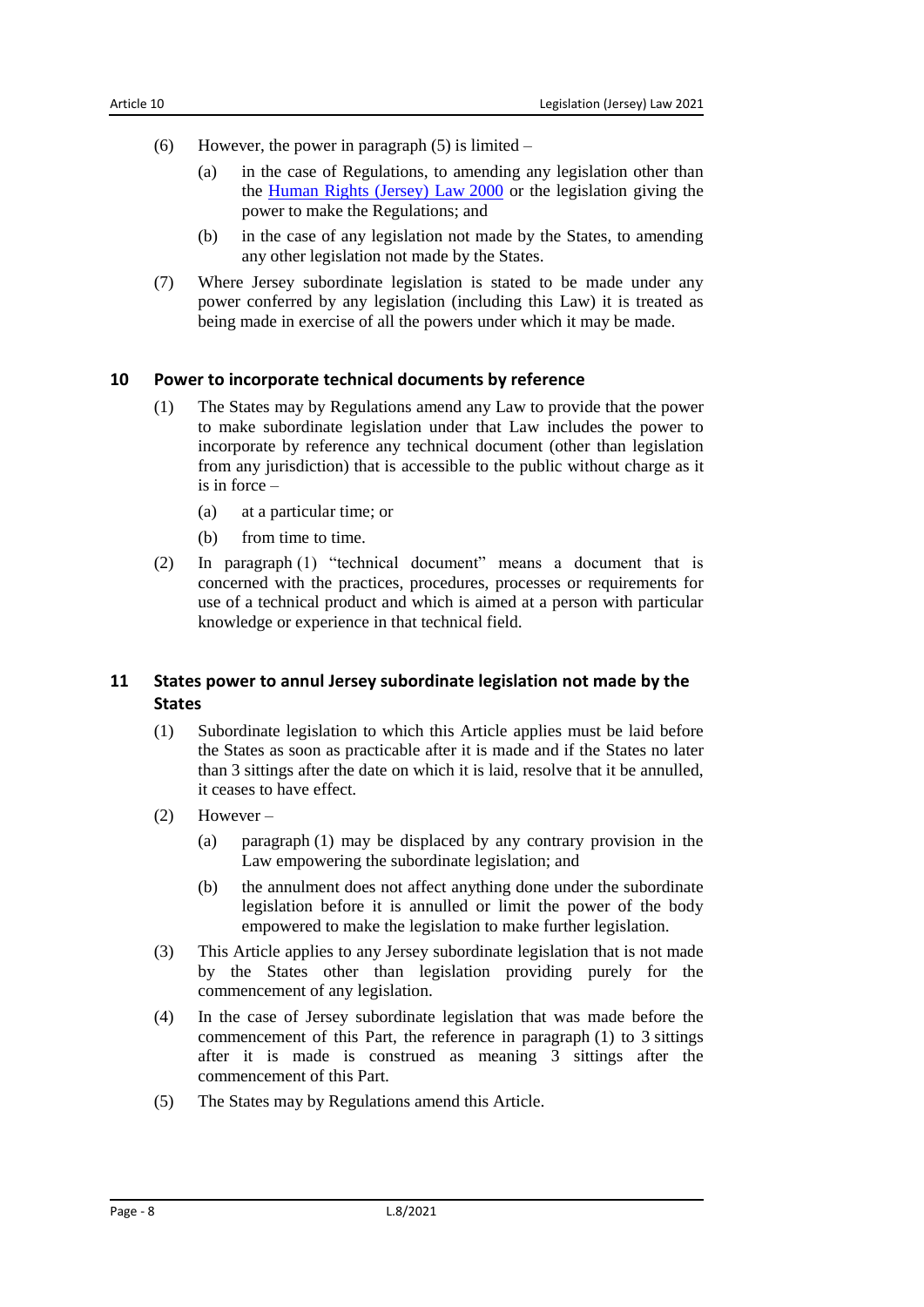- (6) However, the power in paragraph  $(5)$  is limited
	- (a) in the case of Regulations, to amending any legislation other than the [Human Rights \(Jersey\) Law](https://www.jerseylaw.je/laws/unofficialconsolidated/Pages/15.350.aspx) 2000 or the legislation giving the power to make the Regulations; and
	- (b) in the case of any legislation not made by the States, to amending any other legislation not made by the States.
- (7) Where Jersey subordinate legislation is stated to be made under any power conferred by any legislation (including this Law) it is treated as being made in exercise of all the powers under which it may be made.

#### <span id="page-7-0"></span>**10 Power to incorporate technical documents by reference**

- (1) The States may by Regulations amend any Law to provide that the power to make subordinate legislation under that Law includes the power to incorporate by reference any technical document (other than legislation from any jurisdiction) that is accessible to the public without charge as it is in force –
	- (a) at a particular time; or
	- (b) from time to time.
- (2) In paragraph (1) "technical document" means a document that is concerned with the practices, procedures, processes or requirements for use of a technical product and which is aimed at a person with particular knowledge or experience in that technical field.

## <span id="page-7-1"></span>**11 States power to annul Jersey subordinate legislation not made by the States**

- (1) Subordinate legislation to which this Article applies must be laid before the States as soon as practicable after it is made and if the States no later than 3 sittings after the date on which it is laid, resolve that it be annulled, it ceases to have effect.
- (2) However
	- (a) paragraph (1) may be displaced by any contrary provision in the Law empowering the subordinate legislation; and
	- (b) the annulment does not affect anything done under the subordinate legislation before it is annulled or limit the power of the body empowered to make the legislation to make further legislation.
- (3) This Article applies to any Jersey subordinate legislation that is not made by the States other than legislation providing purely for the commencement of any legislation.
- (4) In the case of Jersey subordinate legislation that was made before the commencement of this Part, the reference in paragraph (1) to 3 sittings after it is made is construed as meaning 3 sittings after the commencement of this Part.
- (5) The States may by Regulations amend this Article.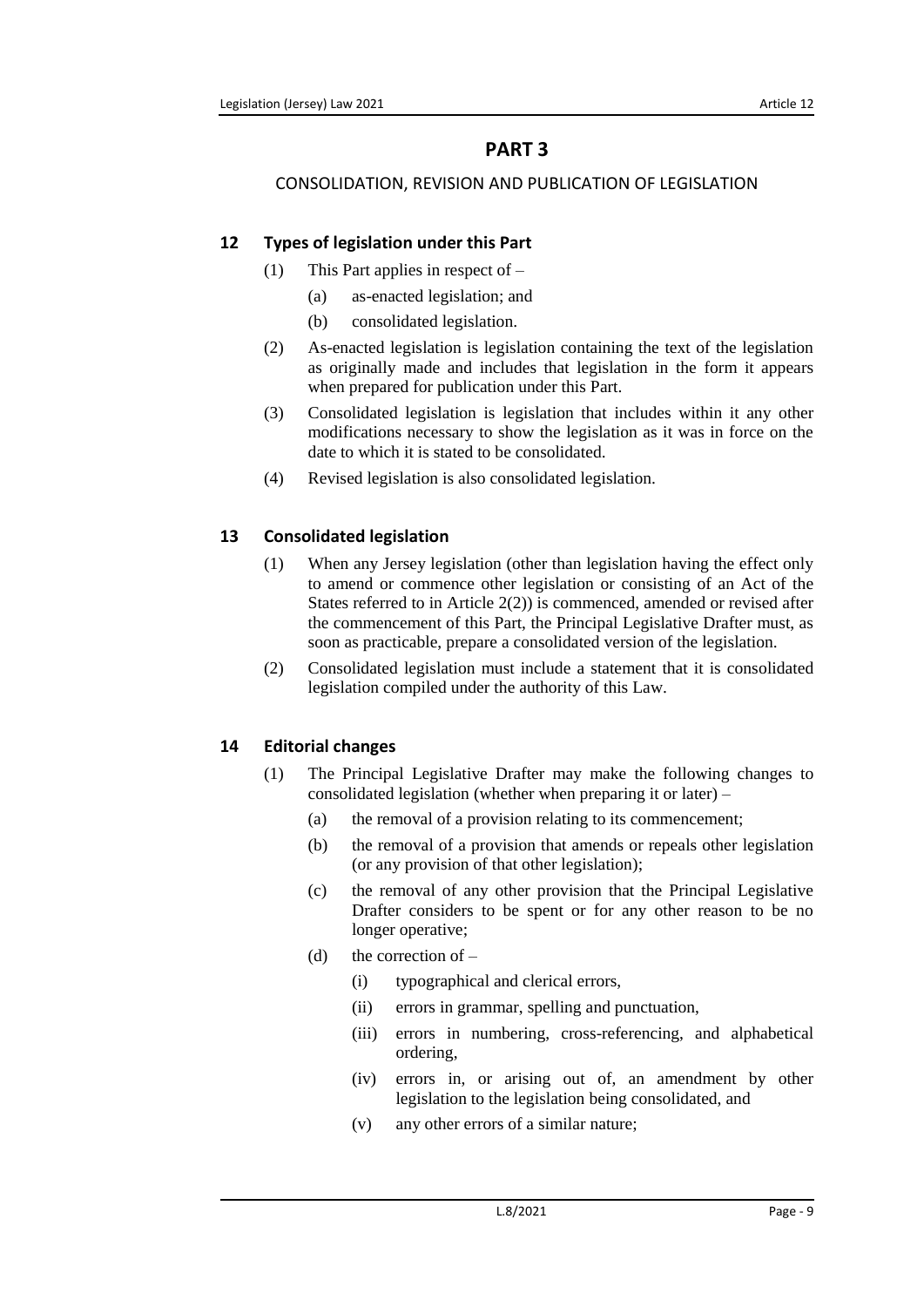# **PART 3**

## <span id="page-8-1"></span><span id="page-8-0"></span>CONSOLIDATION, REVISION AND PUBLICATION OF LEGISLATION

# <span id="page-8-2"></span>**12 Types of legislation under this Part**

- (1) This Part applies in respect of
	- (a) as-enacted legislation; and
	- (b) consolidated legislation.
- (2) As-enacted legislation is legislation containing the text of the legislation as originally made and includes that legislation in the form it appears when prepared for publication under this Part.
- (3) Consolidated legislation is legislation that includes within it any other modifications necessary to show the legislation as it was in force on the date to which it is stated to be consolidated.
- (4) Revised legislation is also consolidated legislation.

# <span id="page-8-3"></span>**13 Consolidated legislation**

- (1) When any Jersey legislation (other than legislation having the effect only to amend or commence other legislation or consisting of an Act of the States referred to in Article 2(2)) is commenced, amended or revised after the commencement of this Part, the Principal Legislative Drafter must, as soon as practicable, prepare a consolidated version of the legislation.
- (2) Consolidated legislation must include a statement that it is consolidated legislation compiled under the authority of this Law.

# <span id="page-8-4"></span>**14 Editorial changes**

- (1) The Principal Legislative Drafter may make the following changes to consolidated legislation (whether when preparing it or later) –
	- (a) the removal of a provision relating to its commencement;
	- (b) the removal of a provision that amends or repeals other legislation (or any provision of that other legislation);
	- (c) the removal of any other provision that the Principal Legislative Drafter considers to be spent or for any other reason to be no longer operative;
	- (d) the correction of  $-$ 
		- (i) typographical and clerical errors,
		- (ii) errors in grammar, spelling and punctuation,
		- (iii) errors in numbering, cross-referencing, and alphabetical ordering,
		- (iv) errors in, or arising out of, an amendment by other legislation to the legislation being consolidated, and
		- (v) any other errors of a similar nature;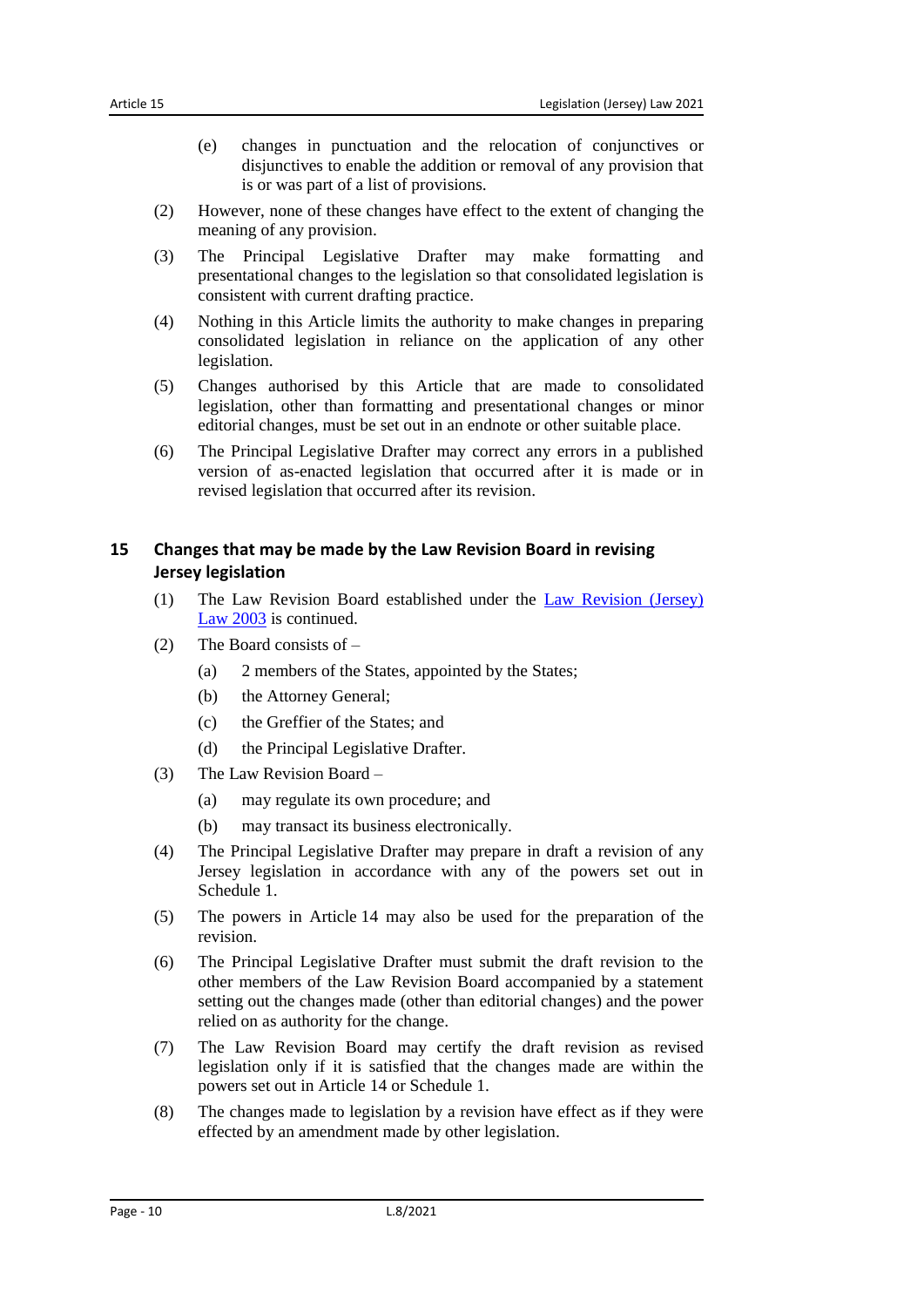- (e) changes in punctuation and the relocation of conjunctives or disjunctives to enable the addition or removal of any provision that is or was part of a list of provisions.
- (2) However, none of these changes have effect to the extent of changing the meaning of any provision.
- (3) The Principal Legislative Drafter may make formatting and presentational changes to the legislation so that consolidated legislation is consistent with current drafting practice.
- (4) Nothing in this Article limits the authority to make changes in preparing consolidated legislation in reliance on the application of any other legislation.
- (5) Changes authorised by this Article that are made to consolidated legislation, other than formatting and presentational changes or minor editorial changes, must be set out in an endnote or other suitable place.
- (6) The Principal Legislative Drafter may correct any errors in a published version of as-enacted legislation that occurred after it is made or in revised legislation that occurred after its revision.

# <span id="page-9-0"></span>**15 Changes that may be made by the Law Revision Board in revising Jersey legislation**

- (1) The Law Revision Board established under the [Law Revision \(Jersey\)](https://www.jerseylaw.je/laws/unofficialconsolidated/Pages/15.420.aspx)  Law [2003](https://www.jerseylaw.je/laws/unofficialconsolidated/Pages/15.420.aspx) is continued.
- (2) The Board consists of
	- (a) 2 members of the States, appointed by the States;
	- (b) the Attorney General;
	- (c) the Greffier of the States; and
	- (d) the Principal Legislative Drafter.
- (3) The Law Revision Board
	- (a) may regulate its own procedure; and
	- (b) may transact its business electronically.
- (4) The Principal Legislative Drafter may prepare in draft a revision of any Jersey legislation in accordance with any of the powers set out in Schedule 1
- (5) The powers in Article 14 may also be used for the preparation of the revision.
- (6) The Principal Legislative Drafter must submit the draft revision to the other members of the Law Revision Board accompanied by a statement setting out the changes made (other than editorial changes) and the power relied on as authority for the change.
- (7) The Law Revision Board may certify the draft revision as revised legislation only if it is satisfied that the changes made are within the powers set out in Article 14 or Schedule 1.
- (8) The changes made to legislation by a revision have effect as if they were effected by an amendment made by other legislation.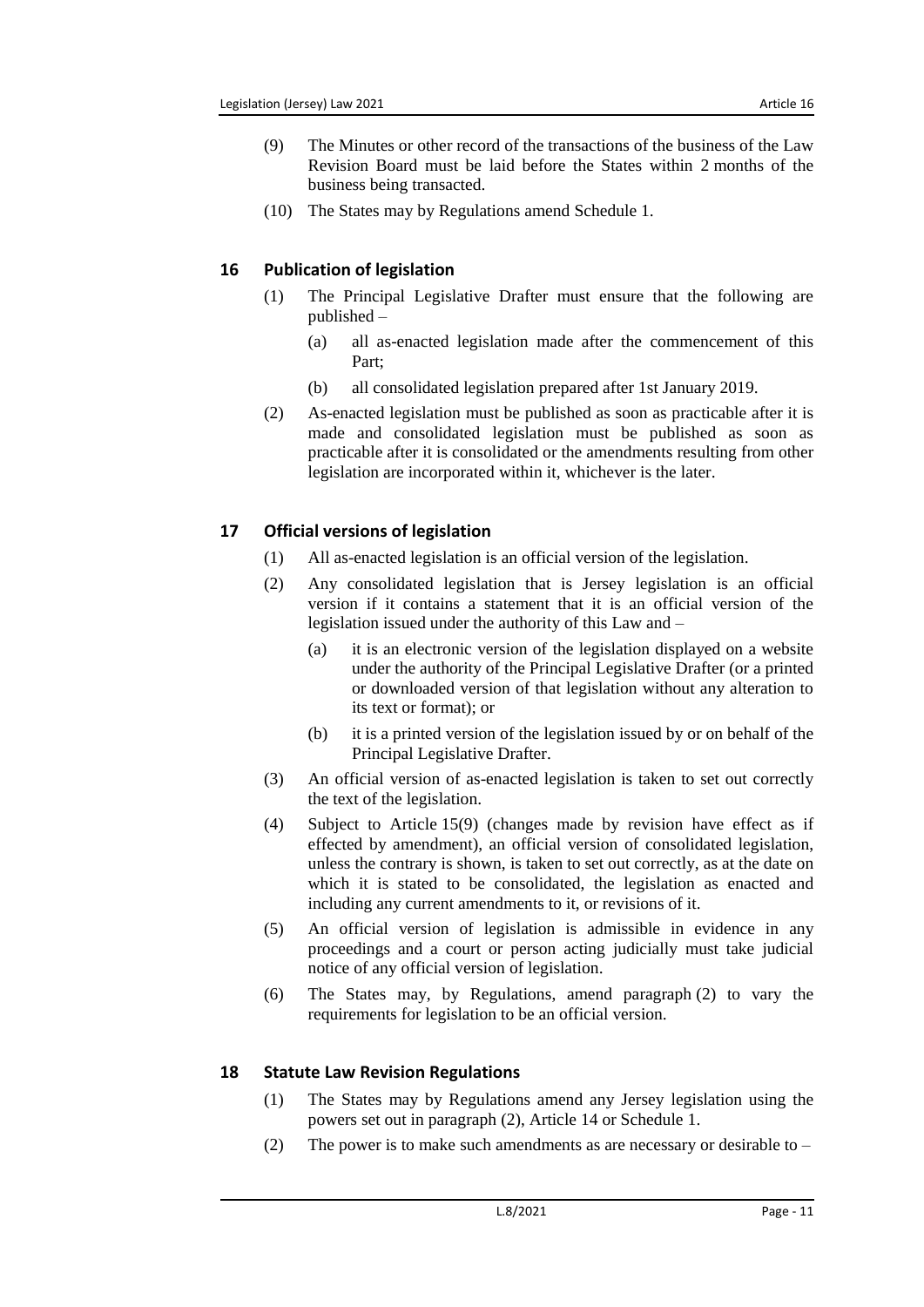- (9) The Minutes or other record of the transactions of the business of the Law Revision Board must be laid before the States within 2 months of the business being transacted.
- (10) The States may by Regulations amend Schedule 1.

# <span id="page-10-0"></span>**16 Publication of legislation**

- (1) The Principal Legislative Drafter must ensure that the following are published –
	- (a) all as-enacted legislation made after the commencement of this Part;
	- (b) all consolidated legislation prepared after 1st January 2019.
- (2) As-enacted legislation must be published as soon as practicable after it is made and consolidated legislation must be published as soon as practicable after it is consolidated or the amendments resulting from other legislation are incorporated within it, whichever is the later.

# <span id="page-10-1"></span>**17 Official versions of legislation**

- (1) All as-enacted legislation is an official version of the legislation.
- (2) Any consolidated legislation that is Jersey legislation is an official version if it contains a statement that it is an official version of the legislation issued under the authority of this Law and –
	- (a) it is an electronic version of the legislation displayed on a website under the authority of the Principal Legislative Drafter (or a printed or downloaded version of that legislation without any alteration to its text or format); or
	- (b) it is a printed version of the legislation issued by or on behalf of the Principal Legislative Drafter.
- (3) An official version of as-enacted legislation is taken to set out correctly the text of the legislation.
- (4) Subject to Article 15(9) (changes made by revision have effect as if effected by amendment), an official version of consolidated legislation, unless the contrary is shown, is taken to set out correctly, as at the date on which it is stated to be consolidated, the legislation as enacted and including any current amendments to it, or revisions of it.
- (5) An official version of legislation is admissible in evidence in any proceedings and a court or person acting judicially must take judicial notice of any official version of legislation.
- (6) The States may, by Regulations, amend paragraph (2) to vary the requirements for legislation to be an official version.

# <span id="page-10-2"></span>**18 Statute Law Revision Regulations**

- (1) The States may by Regulations amend any Jersey legislation using the powers set out in paragraph (2), Article 14 or Schedule 1.
- (2) The power is to make such amendments as are necessary or desirable to –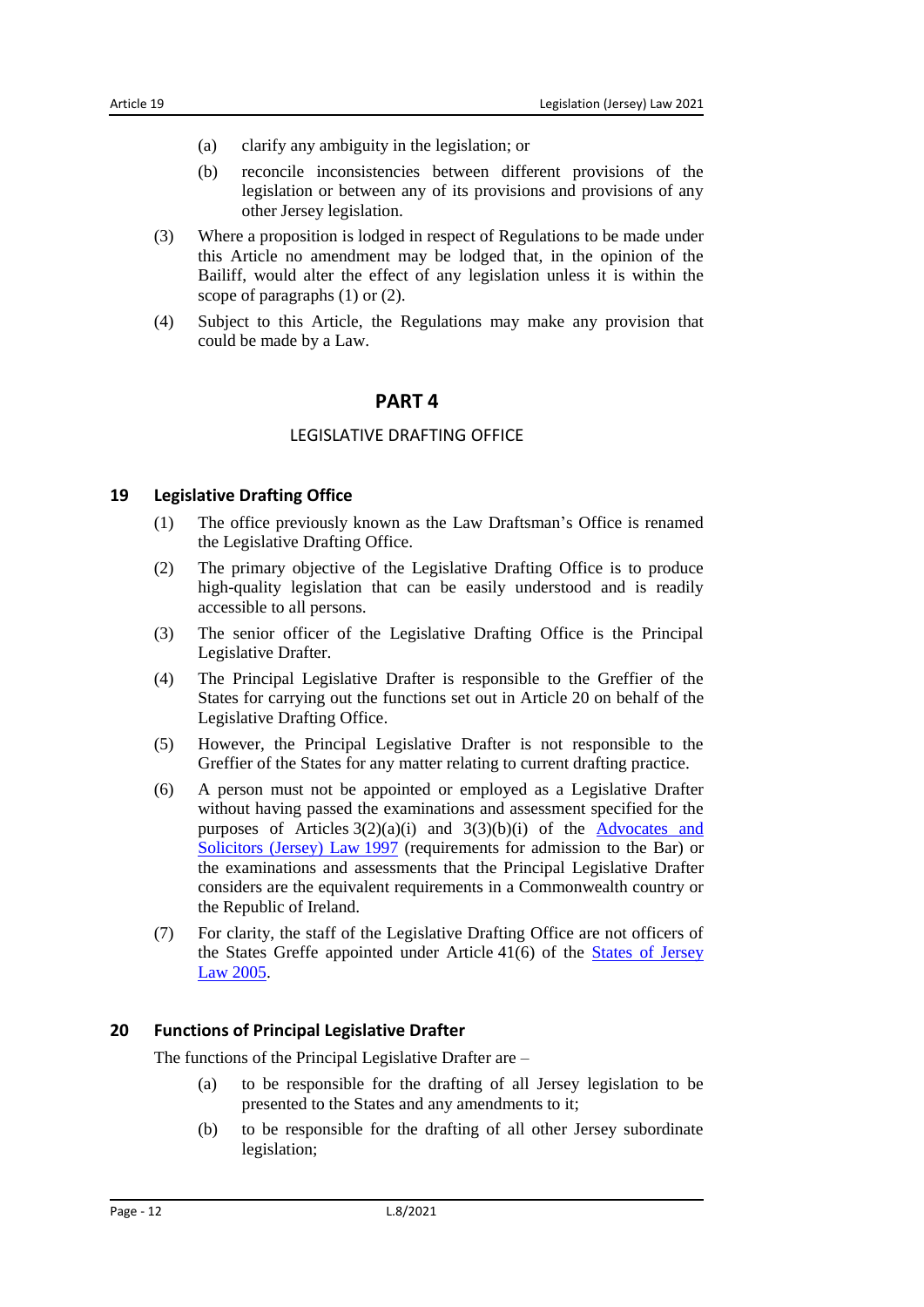- (a) clarify any ambiguity in the legislation; or
- (b) reconcile inconsistencies between different provisions of the legislation or between any of its provisions and provisions of any other Jersey legislation.
- (3) Where a proposition is lodged in respect of Regulations to be made under this Article no amendment may be lodged that, in the opinion of the Bailiff, would alter the effect of any legislation unless it is within the scope of paragraphs (1) or (2).
- <span id="page-11-0"></span>(4) Subject to this Article, the Regulations may make any provision that could be made by a Law.

#### **PART 4**

#### LEGISLATIVE DRAFTING OFFICE

#### <span id="page-11-2"></span><span id="page-11-1"></span>**19 Legislative Drafting Office**

- (1) The office previously known as the Law Draftsman's Office is renamed the Legislative Drafting Office.
- (2) The primary objective of the Legislative Drafting Office is to produce high-quality legislation that can be easily understood and is readily accessible to all persons.
- (3) The senior officer of the Legislative Drafting Office is the Principal Legislative Drafter.
- (4) The Principal Legislative Drafter is responsible to the Greffier of the States for carrying out the functions set out in Article 20 on behalf of the Legislative Drafting Office.
- (5) However, the Principal Legislative Drafter is not responsible to the Greffier of the States for any matter relating to current drafting practice.
- (6) A person must not be appointed or employed as a Legislative Drafter without having passed the examinations and assessment specified for the purposes of Articles  $3(2)(a)(i)$  and  $3(3)(b)(i)$  of the Advocates and [Solicitors \(Jersey\) Law](https://www.jerseylaw.je/laws/unofficialconsolidated/Pages/07.070.aspx) 1997 (requirements for admission to the Bar) or the examinations and assessments that the Principal Legislative Drafter considers are the equivalent requirements in a Commonwealth country or the Republic of Ireland.
- (7) For clarity, the staff of the Legislative Drafting Office are not officers of the States Greffe appointed under Article 41(6) of the [States of Jersey](https://www.jerseylaw.je/laws/unofficialconsolidated/Pages/16.800.aspx)  Law [2005.](https://www.jerseylaw.je/laws/unofficialconsolidated/Pages/16.800.aspx)

#### <span id="page-11-3"></span>**20 Functions of Principal Legislative Drafter**

The functions of the Principal Legislative Drafter are –

- (a) to be responsible for the drafting of all Jersey legislation to be presented to the States and any amendments to it;
- (b) to be responsible for the drafting of all other Jersey subordinate legislation;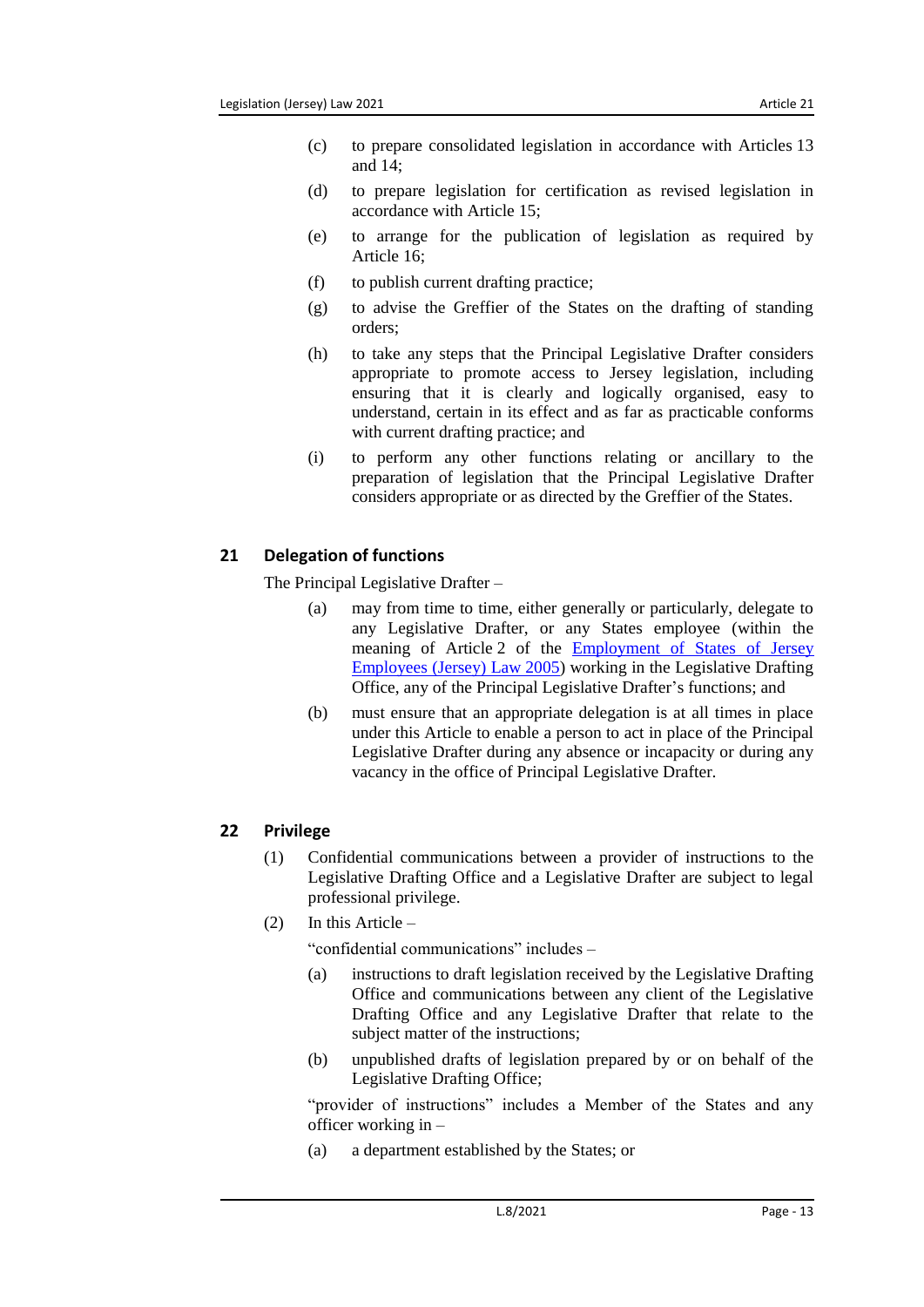- (c) to prepare consolidated legislation in accordance with Articles 13 and 14;
- (d) to prepare legislation for certification as revised legislation in accordance with Article 15;
- (e) to arrange for the publication of legislation as required by Article 16;
- (f) to publish current drafting practice;
- (g) to advise the Greffier of the States on the drafting of standing orders;
- (h) to take any steps that the Principal Legislative Drafter considers appropriate to promote access to Jersey legislation, including ensuring that it is clearly and logically organised, easy to understand, certain in its effect and as far as practicable conforms with current drafting practice; and
- (i) to perform any other functions relating or ancillary to the preparation of legislation that the Principal Legislative Drafter considers appropriate or as directed by the Greffier of the States.

# <span id="page-12-0"></span>**21 Delegation of functions**

The Principal Legislative Drafter –

- (a) may from time to time, either generally or particularly, delegate to any Legislative Drafter, or any States employee (within the meaning of Article 2 of the [Employment of States of Jersey](https://www.jerseylaw.je/laws/unofficialconsolidated/Pages/16.325.aspx)  [Employees \(Jersey\) Law](https://www.jerseylaw.je/laws/unofficialconsolidated/Pages/16.325.aspx) 2005) working in the Legislative Drafting Office, any of the Principal Legislative Drafter's functions; and
- (b) must ensure that an appropriate delegation is at all times in place under this Article to enable a person to act in place of the Principal Legislative Drafter during any absence or incapacity or during any vacancy in the office of Principal Legislative Drafter.

# <span id="page-12-1"></span>**22 Privilege**

- (1) Confidential communications between a provider of instructions to the Legislative Drafting Office and a Legislative Drafter are subject to legal professional privilege.
- (2) In this Article –

"confidential communications" includes –

- (a) instructions to draft legislation received by the Legislative Drafting Office and communications between any client of the Legislative Drafting Office and any Legislative Drafter that relate to the subject matter of the instructions;
- (b) unpublished drafts of legislation prepared by or on behalf of the Legislative Drafting Office;

"provider of instructions" includes a Member of the States and any officer working in –

(a) a department established by the States; or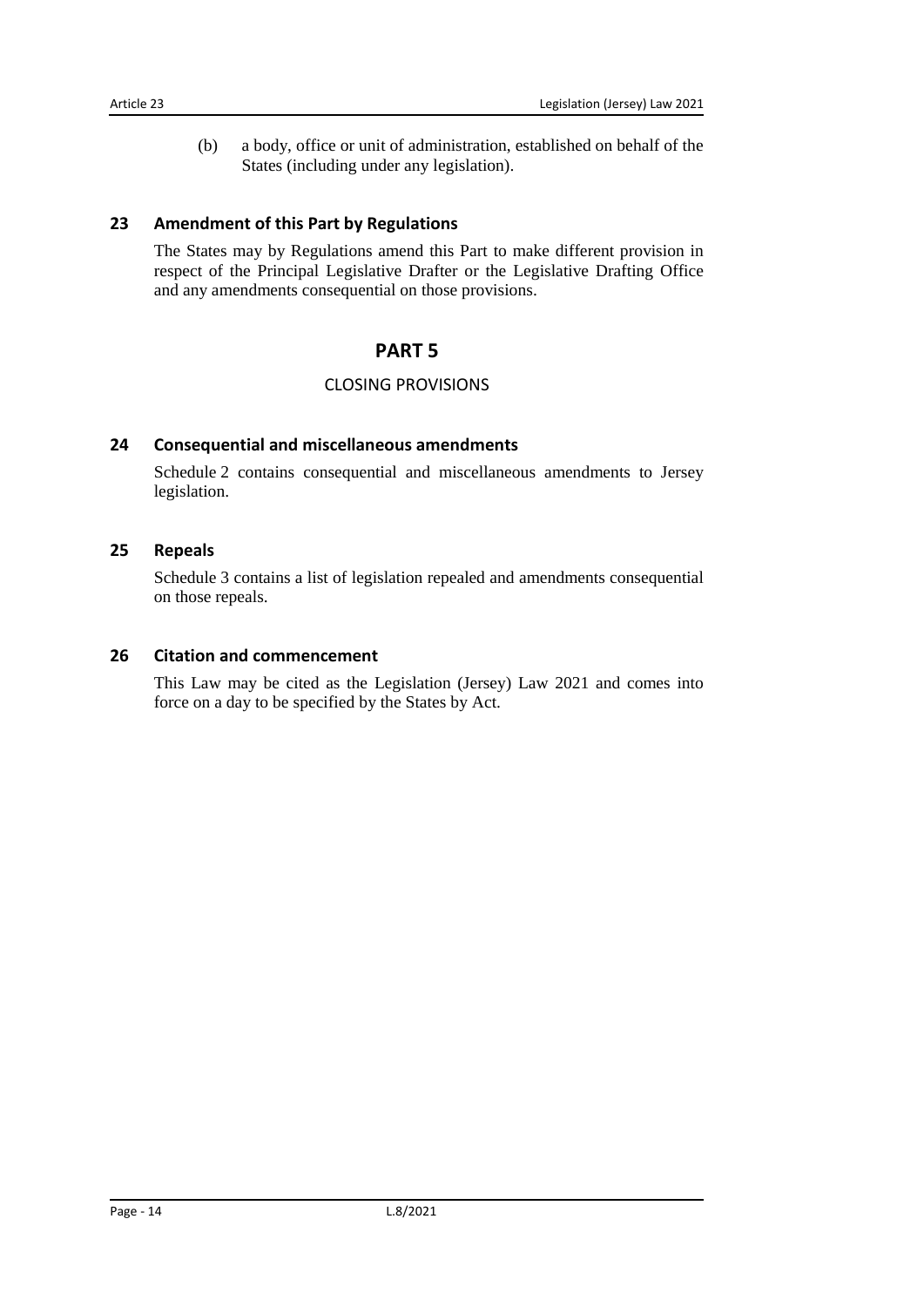(b) a body, office or unit of administration, established on behalf of the States (including under any legislation).

## <span id="page-13-0"></span>**23 Amendment of this Part by Regulations**

<span id="page-13-1"></span>The States may by Regulations amend this Part to make different provision in respect of the Principal Legislative Drafter or the Legislative Drafting Office and any amendments consequential on those provisions.

# **PART 5**

### CLOSING PROVISIONS

#### <span id="page-13-3"></span><span id="page-13-2"></span>**24 Consequential and miscellaneous amendments**

Schedule 2 contains consequential and miscellaneous amendments to Jersey legislation.

#### <span id="page-13-4"></span>**25 Repeals**

Schedule 3 contains a list of legislation repealed and amendments consequential on those repeals.

#### <span id="page-13-5"></span>**26 Citation and commencement**

This Law may be cited as the Legislation (Jersey) Law 2021 and comes into force on a day to be specified by the States by Act.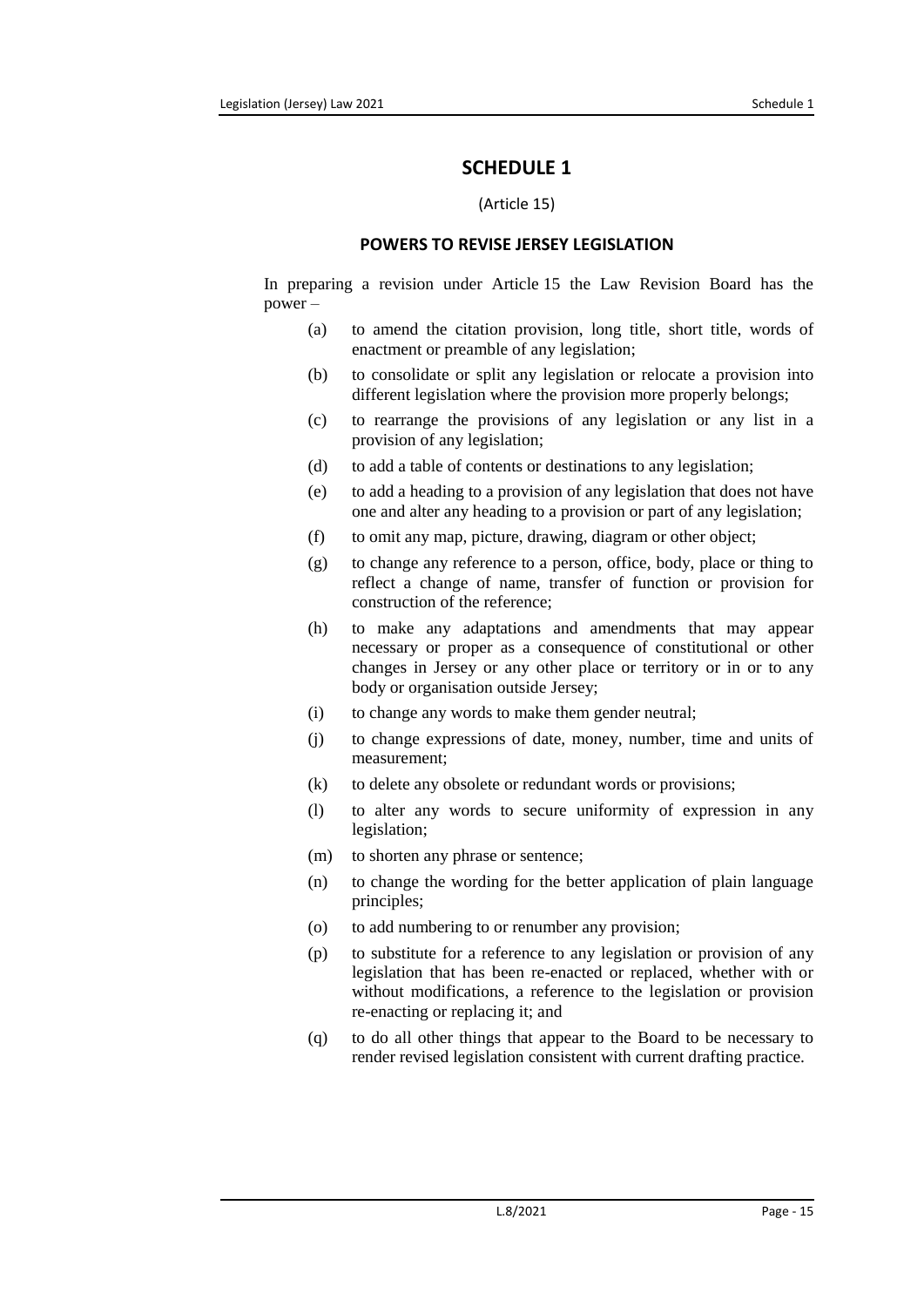## **SCHEDULE 1**

#### (Article 15)

#### **POWERS TO REVISE JERSEY LEGISLATION**

<span id="page-14-1"></span><span id="page-14-0"></span>In preparing a revision under Article 15 the Law Revision Board has the power –

- (a) to amend the citation provision, long title, short title, words of enactment or preamble of any legislation;
- (b) to consolidate or split any legislation or relocate a provision into different legislation where the provision more properly belongs;
- (c) to rearrange the provisions of any legislation or any list in a provision of any legislation;
- (d) to add a table of contents or destinations to any legislation;
- (e) to add a heading to a provision of any legislation that does not have one and alter any heading to a provision or part of any legislation;
- (f) to omit any map, picture, drawing, diagram or other object;
- (g) to change any reference to a person, office, body, place or thing to reflect a change of name, transfer of function or provision for construction of the reference;
- (h) to make any adaptations and amendments that may appear necessary or proper as a consequence of constitutional or other changes in Jersey or any other place or territory or in or to any body or organisation outside Jersey;
- (i) to change any words to make them gender neutral;
- (j) to change expressions of date, money, number, time and units of measurement;
- (k) to delete any obsolete or redundant words or provisions;
- (l) to alter any words to secure uniformity of expression in any legislation;
- (m) to shorten any phrase or sentence;
- (n) to change the wording for the better application of plain language principles;
- (o) to add numbering to or renumber any provision;
- (p) to substitute for a reference to any legislation or provision of any legislation that has been re-enacted or replaced, whether with or without modifications, a reference to the legislation or provision re-enacting or replacing it; and
- (q) to do all other things that appear to the Board to be necessary to render revised legislation consistent with current drafting practice.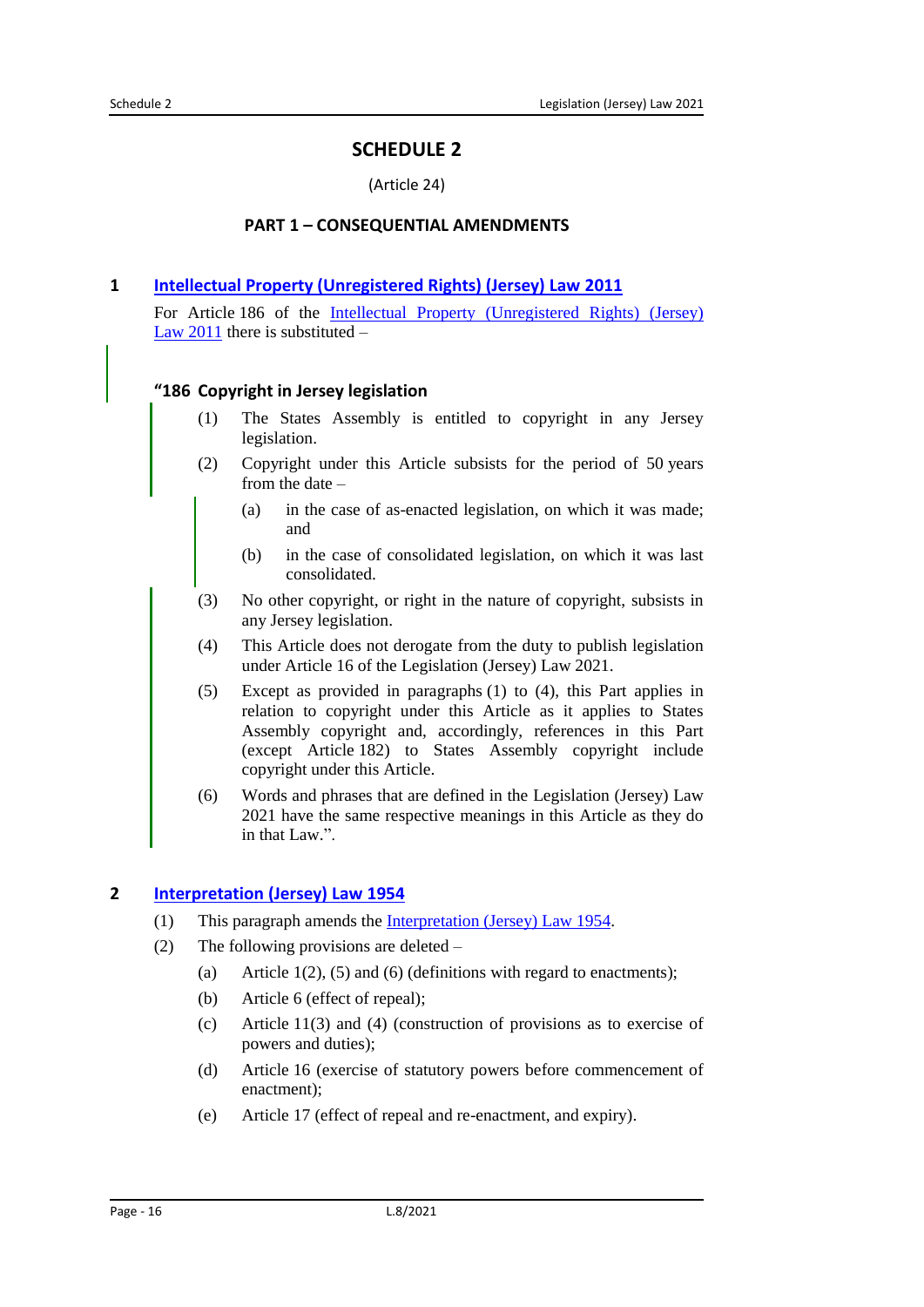# **SCHEDULE 2**

#### (Article 24)

#### **PART 1 – CONSEQUENTIAL AMENDMENTS**

#### <span id="page-15-2"></span><span id="page-15-1"></span><span id="page-15-0"></span>**1 [Intellectual Property \(Unregistered Rights\) \(Jersey\) Law](https://www.jerseylaw.je/laws/unofficialconsolidated/Pages/05.350.aspx) 2011**

For Article 186 of the Intellectual Property (Unregistered Rights) (Jersey) Law [2011](https://www.jerseylaw.je/laws/unofficialconsolidated/Pages/05.350.aspx) there is substituted  $-$ 

#### **"186 Copyright in Jersey legislation**

- (1) The States Assembly is entitled to copyright in any Jersey legislation.
- (2) Copyright under this Article subsists for the period of 50 years from the date –
	- (a) in the case of as-enacted legislation, on which it was made; and
	- (b) in the case of consolidated legislation, on which it was last consolidated.
- (3) No other copyright, or right in the nature of copyright, subsists in any Jersey legislation.
- (4) This Article does not derogate from the duty to publish legislation under Article 16 of the Legislation (Jersey) Law 2021.
- (5) Except as provided in paragraphs (1) to (4), this Part applies in relation to copyright under this Article as it applies to States Assembly copyright and, accordingly, references in this Part (except Article 182) to States Assembly copyright include copyright under this Article.
- (6) Words and phrases that are defined in the Legislation (Jersey) Law 2021 have the same respective meanings in this Article as they do in that Law.".

#### <span id="page-15-3"></span>**2 [Interpretation](https://www.jerseylaw.je/laws/unofficialconsolidated/Pages/15.360.aspx) (Jersey) Law 1954**

- (1) This paragraph amends the [Interpretation \(Jersey\) Law](https://www.jerseylaw.je/laws/unofficialconsolidated/Pages/15.360.aspx) 1954.
- (2) The following provisions are deleted
	- (a) Article  $1(2)$ , (5) and (6) (definitions with regard to enactments);
	- (b) Article 6 (effect of repeal);
	- (c) Article 11(3) and (4) (construction of provisions as to exercise of powers and duties);
	- (d) Article 16 (exercise of statutory powers before commencement of enactment);
	- (e) Article 17 (effect of repeal and re-enactment, and expiry).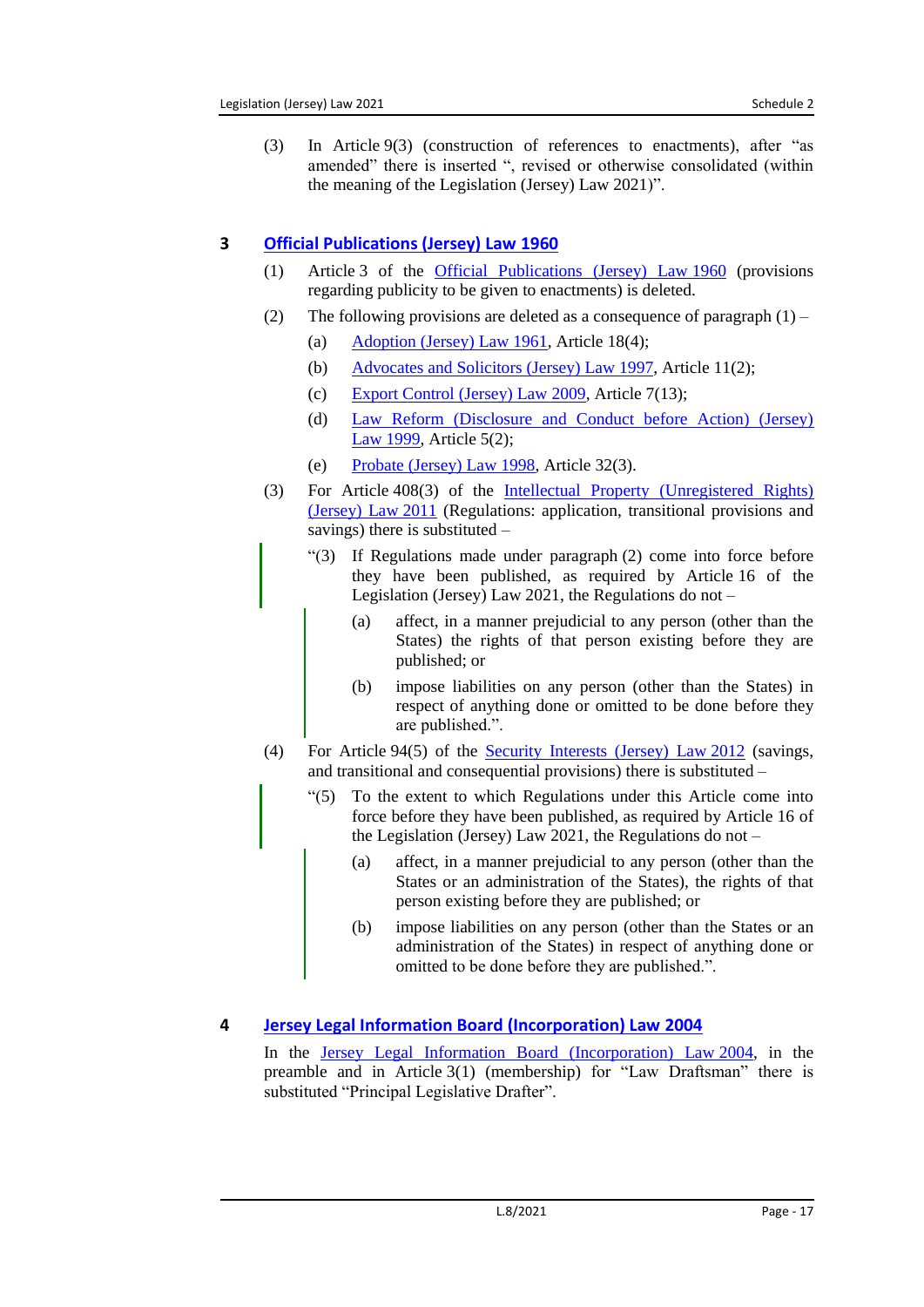(3) In Article 9(3) (construction of references to enactments), after "as amended" there is inserted ", revised or otherwise consolidated (within the meaning of the Legislation (Jersey) Law 2021)".

# <span id="page-16-0"></span>**3 [Official Publications \(Jersey\) Law](https://www.jerseylaw.je/laws/unofficialconsolidated/Pages/15.440.aspx) 1960**

- (1) Article 3 of the [Official Publications \(Jersey\) Law](https://www.jerseylaw.je/laws/unofficialconsolidated/Pages/15.440.aspx) 1960 (provisions regarding publicity to be given to enactments) is deleted.
- (2) The following provisions are deleted as a consequence of paragraph  $(1)$ 
	- (a)  $\Delta$  [Adoption \(Jersey\) Law](https://www.jerseylaw.je/laws/unofficialconsolidated/Pages/12.050.aspx) 1961, Article 18(4);
	- (b) [Advocates and Solicitors \(Jersey\) Law](https://www.jerseylaw.je/laws/unofficialconsolidated/Pages/07.070.aspx) 1997, Article 11(2);
	- (c) [Export Control \(Jersey\) Law 2009,](https://www.jerseylaw.je/laws/unofficialconsolidated/Pages/17.310.aspx) Article 7(13);
	- (d) [Law Reform \(Disclosure and Conduct before Action\) \(Jersey\)](https://www.jerseylaw.je/laws/unofficialconsolidated/Pages/07.560.aspx)  Law [1999,](https://www.jerseylaw.je/laws/unofficialconsolidated/Pages/07.560.aspx) Article 5(2);
	- (e) [Probate \(Jersey\) Law](https://www.jerseylaw.je/laws/unofficialconsolidated/Pages/04.720.aspx) 1998, Article 32(3).
- (3) For Article 408(3) of the [Intellectual Property \(Unregistered Rights\)](https://www.jerseylaw.je/laws/unofficialconsolidated/Pages/05.350.aspx)  [\(Jersey\) Law](https://www.jerseylaw.je/laws/unofficialconsolidated/Pages/05.350.aspx) 2011 (Regulations: application, transitional provisions and savings) there is substituted –
	- "(3) If Regulations made under paragraph (2) come into force before they have been published, as required by Article 16 of the Legislation (Jersey) Law 2021, the Regulations do not –
		- (a) affect, in a manner prejudicial to any person (other than the States) the rights of that person existing before they are published; or
		- (b) impose liabilities on any person (other than the States) in respect of anything done or omitted to be done before they are published.".
- (4) For Article 94(5) of the [Security Interests \(Jersey\) Law](https://www.jerseylaw.je/laws/unofficialconsolidated/Pages/13.776.aspx) 2012 (savings, and transitional and consequential provisions) there is substituted –
	- "(5) To the extent to which Regulations under this Article come into force before they have been published, as required by Article 16 of the Legislation (Jersey) Law 2021, the Regulations do not –
		- (a) affect, in a manner prejudicial to any person (other than the States or an administration of the States), the rights of that person existing before they are published; or
		- (b) impose liabilities on any person (other than the States or an administration of the States) in respect of anything done or omitted to be done before they are published.".

# <span id="page-16-1"></span>**4 [Jersey Legal Information Board \(Incorporation\) Law](https://www.jerseylaw.je/laws/unofficialconsolidated/Pages/16.335.aspx) 2004**

In the [Jersey Legal Information Board \(Incorporation\) Law](https://www.jerseylaw.je/laws/unofficialconsolidated/Pages/16.335.aspx) 2004, in the preamble and in Article 3(1) (membership) for "Law Draftsman" there is substituted "Principal Legislative Drafter".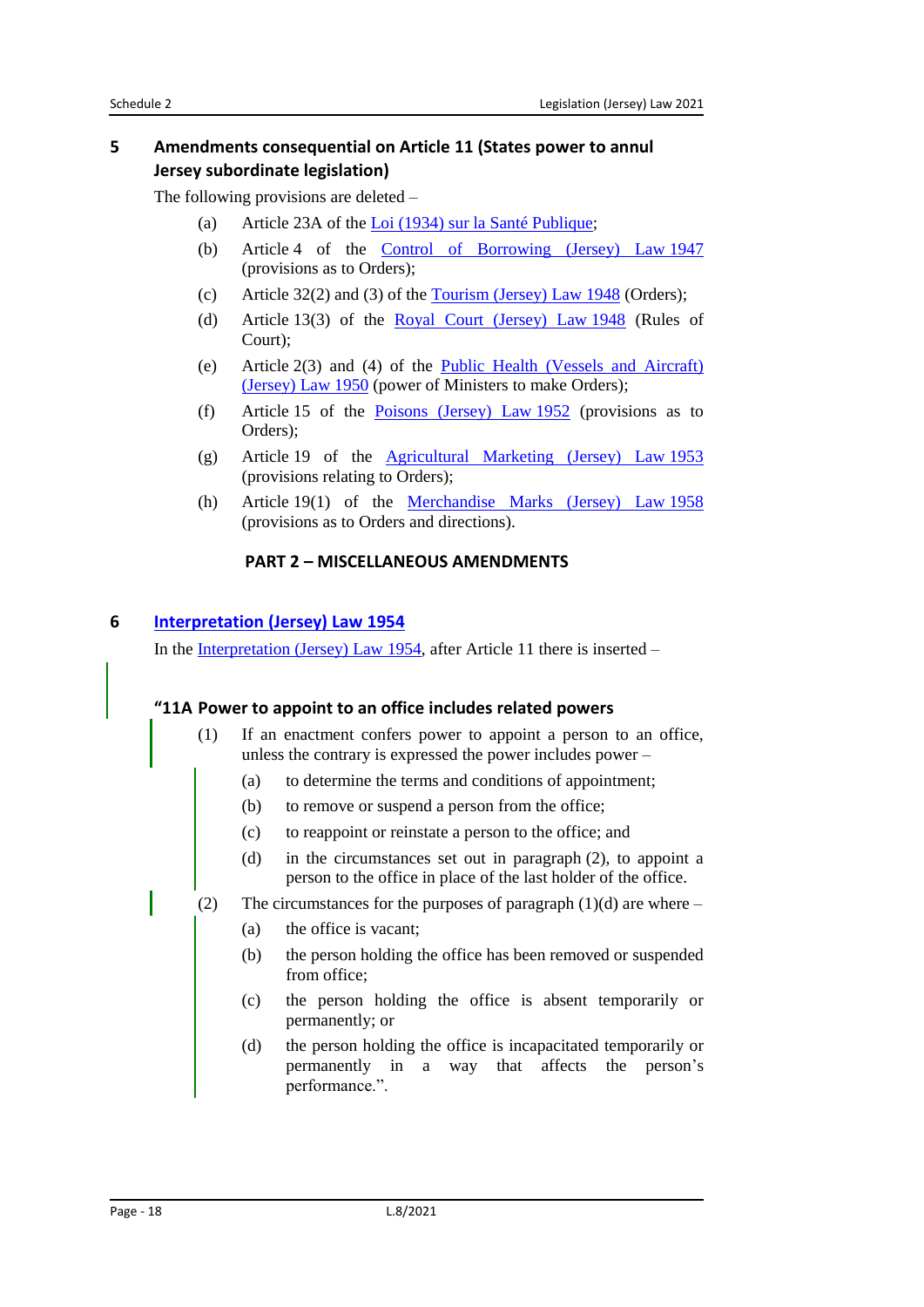### <span id="page-17-0"></span>**5 Amendments consequential on Article 11 (States power to annul Jersey subordinate legislation)**

The following provisions are deleted –

- (a) Article 23A of the Loi [\(1934\) sur la Santé Publique;](https://www.jerseylaw.je/laws/unofficialconsolidated/Pages/20.875.aspx)
- (b) Article 4 of the [Control of Borrowing \(Jersey\) Law](https://www.jerseylaw.je/laws/unofficialconsolidated/Pages/24.150.aspx) 1947 (provisions as to Orders);
- (c) Article  $32(2)$  and (3) of the [Tourism \(Jersey\) Law](https://www.jerseylaw.je/laws/unofficialconsolidated/Pages/05.850.aspx) 1948 (Orders);
- (d) Article 13(3) of the [Royal Court \(Jersey\) Law](https://www.jerseylaw.je/laws/unofficialconsolidated/Pages/07.770.aspx) 1948 (Rules of Court);
- (e) Article 2(3) and (4) of the [Public Health \(Vessels and Aircraft\)](https://www.jerseylaw.je/laws/unofficialconsolidated/Pages/20.800.aspx)  [\(Jersey\)](https://www.jerseylaw.je/laws/unofficialconsolidated/Pages/20.800.aspx) Law 1950 (power of Ministers to make Orders);
- (f) Article 15 of the [Poisons \(Jersey\) Law](https://www.jerseylaw.je/laws/unofficialconsolidated/Pages/20.775.aspx) 1952 (provisions as to Orders);
- (g) Article 19 of the [Agricultural Marketing \(Jersey\) Law](https://www.jerseylaw.je/laws/unofficialconsolidated/Pages/01.160.aspx) 1953 (provisions relating to Orders);
- (h) Article 19(1) of the [Merchandise Marks \(Jersey\) Law](https://www.jerseylaw.je/laws/unofficialconsolidated/Pages/05.550.aspx) 1958 (provisions as to Orders and directions).

#### **PART 2 – MISCELLANEOUS AMENDMENTS**

### <span id="page-17-2"></span><span id="page-17-1"></span>**6 [Interpretation \(Jersey\) Law](https://www.jerseylaw.je/laws/unofficialconsolidated/Pages/15.360.aspx) 1954**

In the [Interpretation \(Jersey\) Law](https://www.jerseylaw.je/laws/unofficialconsolidated/Pages/15.360.aspx) 1954, after Article 11 there is inserted –

#### **"11A Power to appoint to an office includes related powers**

- (1) If an enactment confers power to appoint a person to an office, unless the contrary is expressed the power includes power –
	- (a) to determine the terms and conditions of appointment;
	- (b) to remove or suspend a person from the office;
	- (c) to reappoint or reinstate a person to the office; and
	- (d) in the circumstances set out in paragraph (2), to appoint a person to the office in place of the last holder of the office.
- (2) The circumstances for the purposes of paragraph  $(1)(d)$  are where
	- (a) the office is vacant;
	- (b) the person holding the office has been removed or suspended from office;
	- (c) the person holding the office is absent temporarily or permanently; or
	- (d) the person holding the office is incapacitated temporarily or permanently in a way that affects the person's performance.".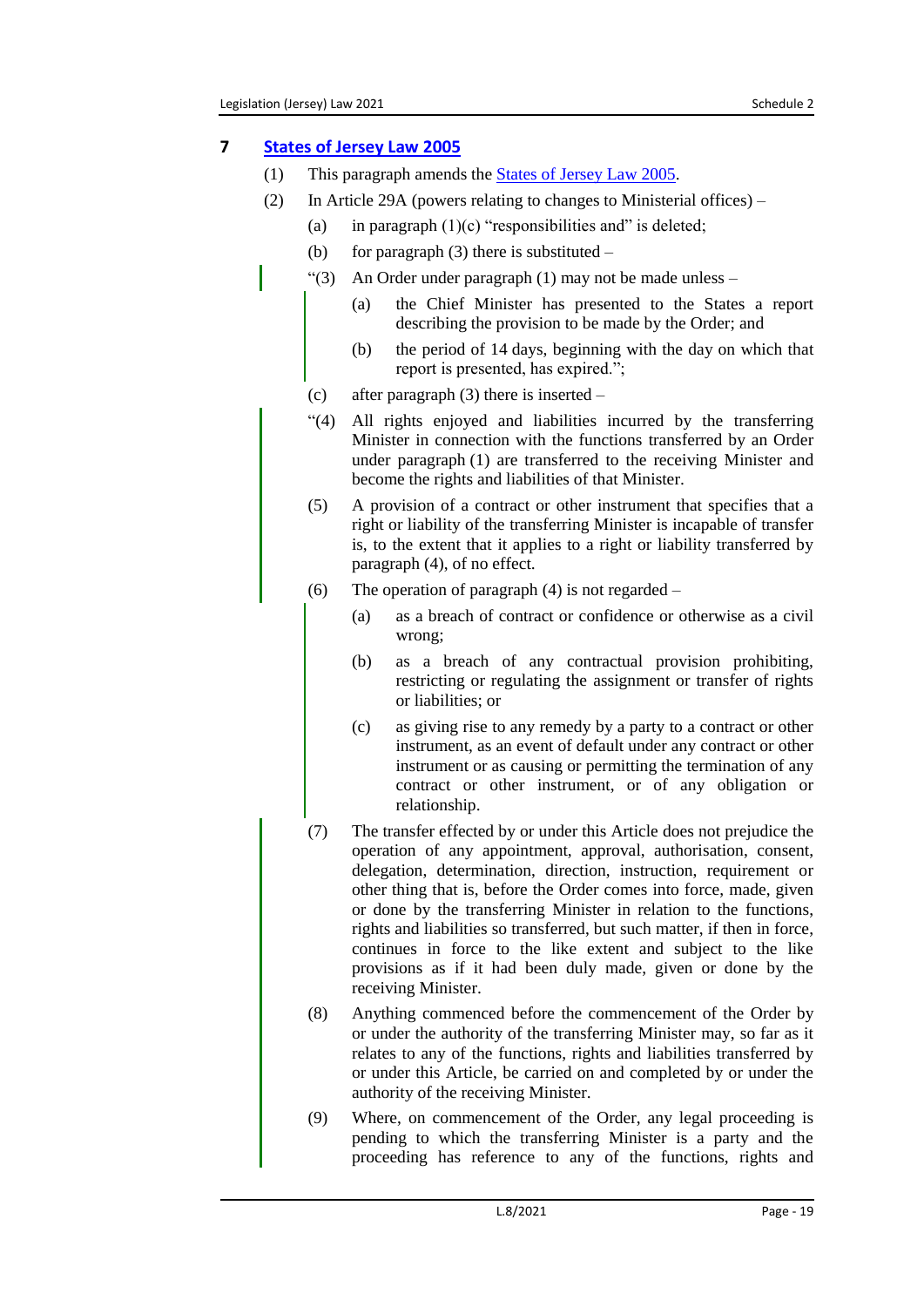## <span id="page-18-0"></span>**7 [States of Jersey Law](https://www.jerseylaw.je/laws/unofficialconsolidated/Pages/16.800.aspx) 2005**

- (1) This paragraph amends the [States of Jersey Law](https://www.jerseylaw.je/laws/unofficialconsolidated/Pages/16.800.aspx) 2005.
- (2) In Article 29A (powers relating to changes to Ministerial offices)
	- (a) in paragraph  $(1)(c)$  "responsibilities and" is deleted;
	- (b) for paragraph  $(3)$  there is substituted –
	- " $(3)$  An Order under paragraph  $(1)$  may not be made unless
		- (a) the Chief Minister has presented to the States a report describing the provision to be made by the Order; and
		- (b) the period of 14 days, beginning with the day on which that report is presented, has expired.";
		- (c) after paragraph (3) there is inserted –
		- "(4) All rights enjoyed and liabilities incurred by the transferring Minister in connection with the functions transferred by an Order under paragraph (1) are transferred to the receiving Minister and become the rights and liabilities of that Minister.
		- (5) A provision of a contract or other instrument that specifies that a right or liability of the transferring Minister is incapable of transfer is, to the extent that it applies to a right or liability transferred by paragraph (4), of no effect.
		- (6) The operation of paragraph (4) is not regarded
			- (a) as a breach of contract or confidence or otherwise as a civil wrong;
			- (b) as a breach of any contractual provision prohibiting, restricting or regulating the assignment or transfer of rights or liabilities; or
			- (c) as giving rise to any remedy by a party to a contract or other instrument, as an event of default under any contract or other instrument or as causing or permitting the termination of any contract or other instrument, or of any obligation or relationship.
		- (7) The transfer effected by or under this Article does not prejudice the operation of any appointment, approval, authorisation, consent, delegation, determination, direction, instruction, requirement or other thing that is, before the Order comes into force, made, given or done by the transferring Minister in relation to the functions, rights and liabilities so transferred, but such matter, if then in force, continues in force to the like extent and subject to the like provisions as if it had been duly made, given or done by the receiving Minister.
		- (8) Anything commenced before the commencement of the Order by or under the authority of the transferring Minister may, so far as it relates to any of the functions, rights and liabilities transferred by or under this Article, be carried on and completed by or under the authority of the receiving Minister.
		- (9) Where, on commencement of the Order, any legal proceeding is pending to which the transferring Minister is a party and the proceeding has reference to any of the functions, rights and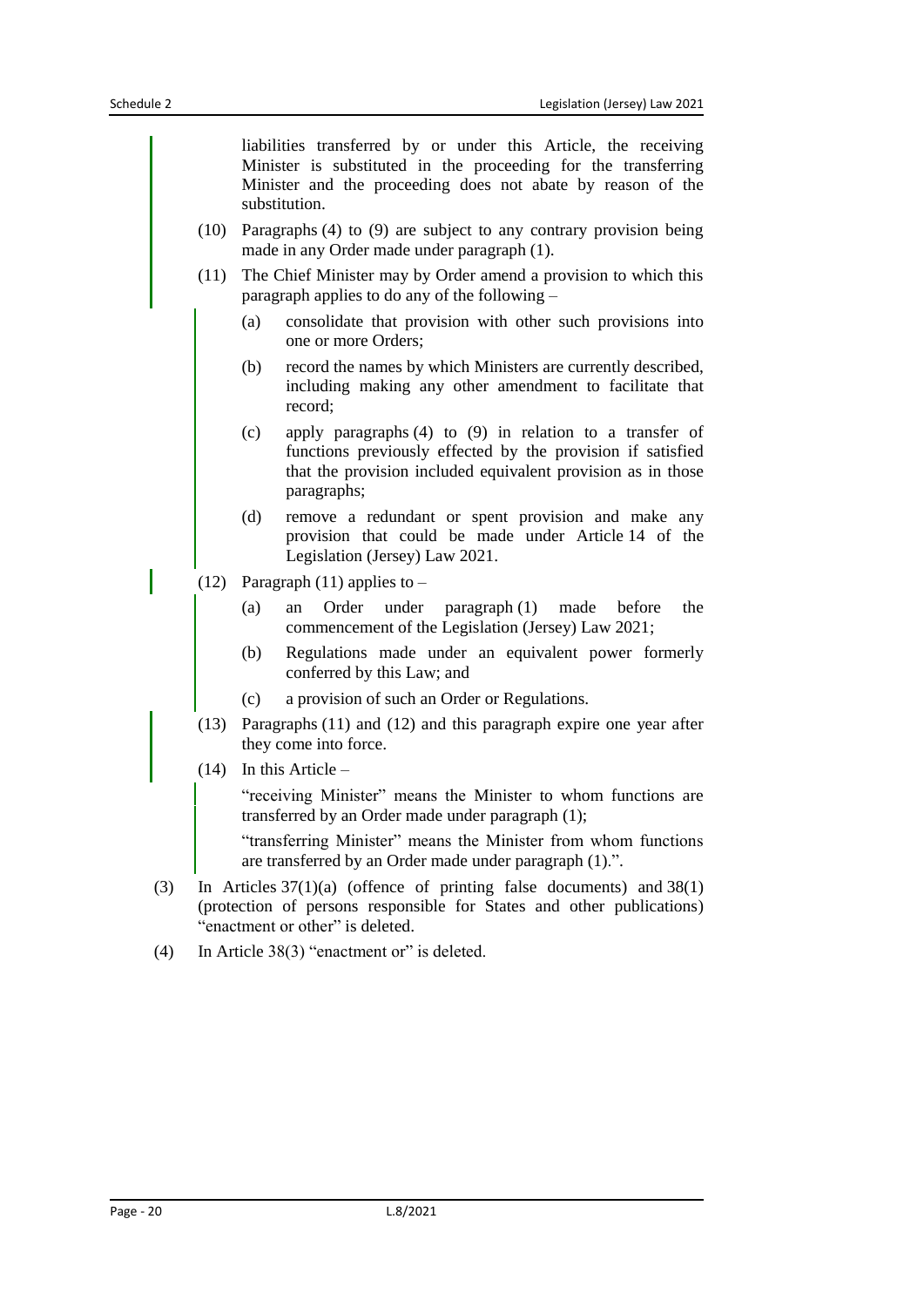liabilities transferred by or under this Article, the receiving Minister is substituted in the proceeding for the transferring Minister and the proceeding does not abate by reason of the substitution.

- (10) Paragraphs (4) to (9) are subject to any contrary provision being made in any Order made under paragraph (1).
- (11) The Chief Minister may by Order amend a provision to which this paragraph applies to do any of the following –
	- (a) consolidate that provision with other such provisions into one or more Orders;
	- (b) record the names by which Ministers are currently described, including making any other amendment to facilitate that record;
	- (c) apply paragraphs (4) to (9) in relation to a transfer of functions previously effected by the provision if satisfied that the provision included equivalent provision as in those paragraphs;
	- (d) remove a redundant or spent provision and make any provision that could be made under Article 14 of the Legislation (Jersey) Law 2021.
- (12) Paragraph (11) applies to  $-$ 
	- (a) an Order under paragraph (1) made before the commencement of the Legislation (Jersey) Law 2021;
	- (b) Regulations made under an equivalent power formerly conferred by this Law; and
	- (c) a provision of such an Order or Regulations.
- (13) Paragraphs (11) and (12) and this paragraph expire one year after they come into force.
- (14) In this Article –

"receiving Minister" means the Minister to whom functions are transferred by an Order made under paragraph (1);

"transferring Minister" means the Minister from whom functions are transferred by an Order made under paragraph (1).".

- (3) In Articles 37(1)(a) (offence of printing false documents) and 38(1) (protection of persons responsible for States and other publications) "enactment or other" is deleted.
- (4) In Article 38(3) "enactment or" is deleted.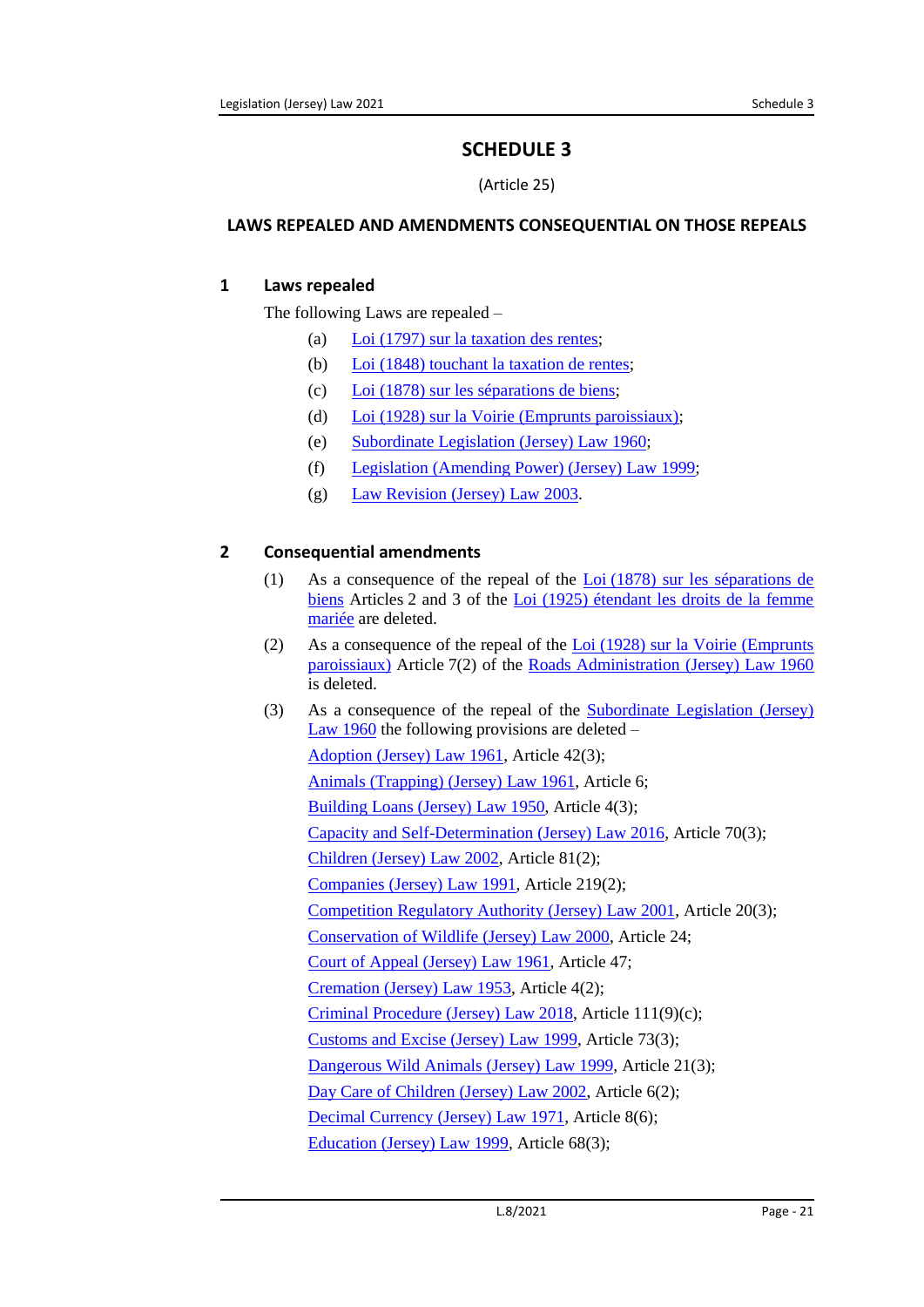# **SCHEDULE 3**

(Article 25)

### <span id="page-20-1"></span><span id="page-20-0"></span>**LAWS REPEALED AND AMENDMENTS CONSEQUENTIAL ON THOSE REPEALS**

## <span id="page-20-2"></span>**1 Laws repealed**

The following Laws are repealed –

- (a) Loi [\(1797\) sur la taxation des rentes;](https://www.jerseylaw.je/laws/unofficialconsolidated/Pages/18.710.aspx)
- (b) Loi [\(1848\) touchant la taxation de rentes;](https://www.jerseylaw.je/laws/unofficialconsolidated/Pages/18.755.aspx)
- (c) Loi [\(1878\) sur les séparations de biens;](https://www.jerseylaw.je/laws/unofficialconsolidated/Pages/12.850.aspx)
- (d) Loi [\(1928\) sur la Voirie \(Emprunts paroissiaux\);](https://www.jerseylaw.je/laws/unofficialconsolidated/Pages/25.900.aspx)
- (e) [Subordinate Legislation \(Jersey\) Law](https://www.jerseylaw.je/laws/unofficialconsolidated/Pages/15.720.aspx) 1960;
- (f) [Legislation \(Amending Power\) \(Jersey\) Law](https://www.jerseylaw.je/laws/unofficialconsolidated/Pages/16.400.aspx) 1999;
- (g) [Law Revision \(Jersey\) Law](https://www.jerseylaw.je/laws/unofficialconsolidated/Pages/15.420.aspx) 2003.

# <span id="page-20-3"></span>**2 Consequential amendments**

- (1) As a consequence of the repeal of the Loi [\(1878\) sur les séparations de](https://www.jerseylaw.je/laws/unofficialconsolidated/Pages/12.850.aspx)  [biens](https://www.jerseylaw.je/laws/unofficialconsolidated/Pages/12.850.aspx) Articles 2 and 3 of the Loi (1925) étendant les droits de la femme [mariée](https://www.jerseylaw.je/laws/unofficialconsolidated/Pages/12.300.aspx) are deleted.
- (2) As a consequence of the repeal of the Loi [\(1928\) sur la Voirie \(Emprunts](https://www.jerseylaw.je/laws/unofficialconsolidated/Pages/25.900.aspx)  [paroissiaux\)](https://www.jerseylaw.je/laws/unofficialconsolidated/Pages/25.900.aspx) Article 7(2) of the [Roads Administration \(Jersey\) Law](https://www.jerseylaw.je/laws/unofficialconsolidated/Pages/25.650.aspx) 1960 is deleted.
- (3) As a consequence of the repeal of the [Subordinate Legislation \(Jersey\)](https://www.jerseylaw.je/laws/unofficialconsolidated/Pages/15.720.aspx)  Law [1960](https://www.jerseylaw.je/laws/unofficialconsolidated/Pages/15.720.aspx) the following provisions are deleted –

[Adoption \(Jersey\) Law](https://www.jerseylaw.je/laws/unofficialconsolidated/Pages/12.050.aspx) 1961, Article 42(3); [Animals \(Trapping\)](https://www.jerseylaw.je/laws/unofficialconsolidated/Pages/02.200.aspx) (Jersey) Law 1961, Article 6; [Building Loans \(Jersey\) Law](https://www.jerseylaw.je/laws/unofficialconsolidated/Pages/24.090.aspx) 1950, Article 4(3); [Capacity and Self-Determination \(Jersey\) Law](https://www.jerseylaw.je/laws/unofficialconsolidated/Pages/20.040.aspx) 2016, Article 70(3); [Children \(Jersey\) Law](https://www.jerseylaw.je/laws/unofficialconsolidated/Pages/12.200.aspx) 2002, Article 81(2); [Companies \(Jersey\) Law](https://www.jerseylaw.je/laws/unofficialconsolidated/Pages/13.125.aspx) 1991, Article 219(2); [Competition Regulatory Authority \(Jersey\) Law](https://www.jerseylaw.je/laws/unofficialconsolidated/Pages/05.075.aspx) 2001, Article 20(3); [Conservation of Wildlife \(Jersey\) Law](https://www.jerseylaw.je/laws/unofficialconsolidated/Pages/22.450.aspx) 2000, Article 24; [Court of Appeal \(Jersey\) Law](https://www.jerseylaw.je/laws/unofficialconsolidated/Pages/07.245.aspx) 1961, Article 47; [Cremation \(Jersey\) Law](https://www.jerseylaw.je/laws/unofficialconsolidated/Pages/20.075.aspx) 1953, Article 4(2); [Criminal Procedure \(Jersey\) Law](https://www.jerseylaw.je/laws/unofficialconsolidated/Pages/08.450.aspx) 2018, Article 111(9)(c); [Customs and Excise \(Jersey\) Law](https://www.jerseylaw.je/laws/unofficialconsolidated/Pages/24.660.aspx) 1999, Article 73(3); [Dangerous Wild Animals \(Jersey\) Law](https://www.jerseylaw.je/laws/unofficialconsolidated/Pages/02.300.aspx) 1999, Article 21(3); [Day Care of Children \(Jersey\) Law](https://www.jerseylaw.je/laws/unofficialconsolidated/Pages/10.700.aspx) 2002, Article 6(2); [Decimal Currency \(Jersey\) Law](https://www.jerseylaw.je/laws/unofficialconsolidated/Pages/24.690.aspx) 1971, Article 8(6); [Education \(Jersey\) Law](https://www.jerseylaw.je/laws/unofficialconsolidated/Pages/10.800.aspx) 1999, Article 68(3);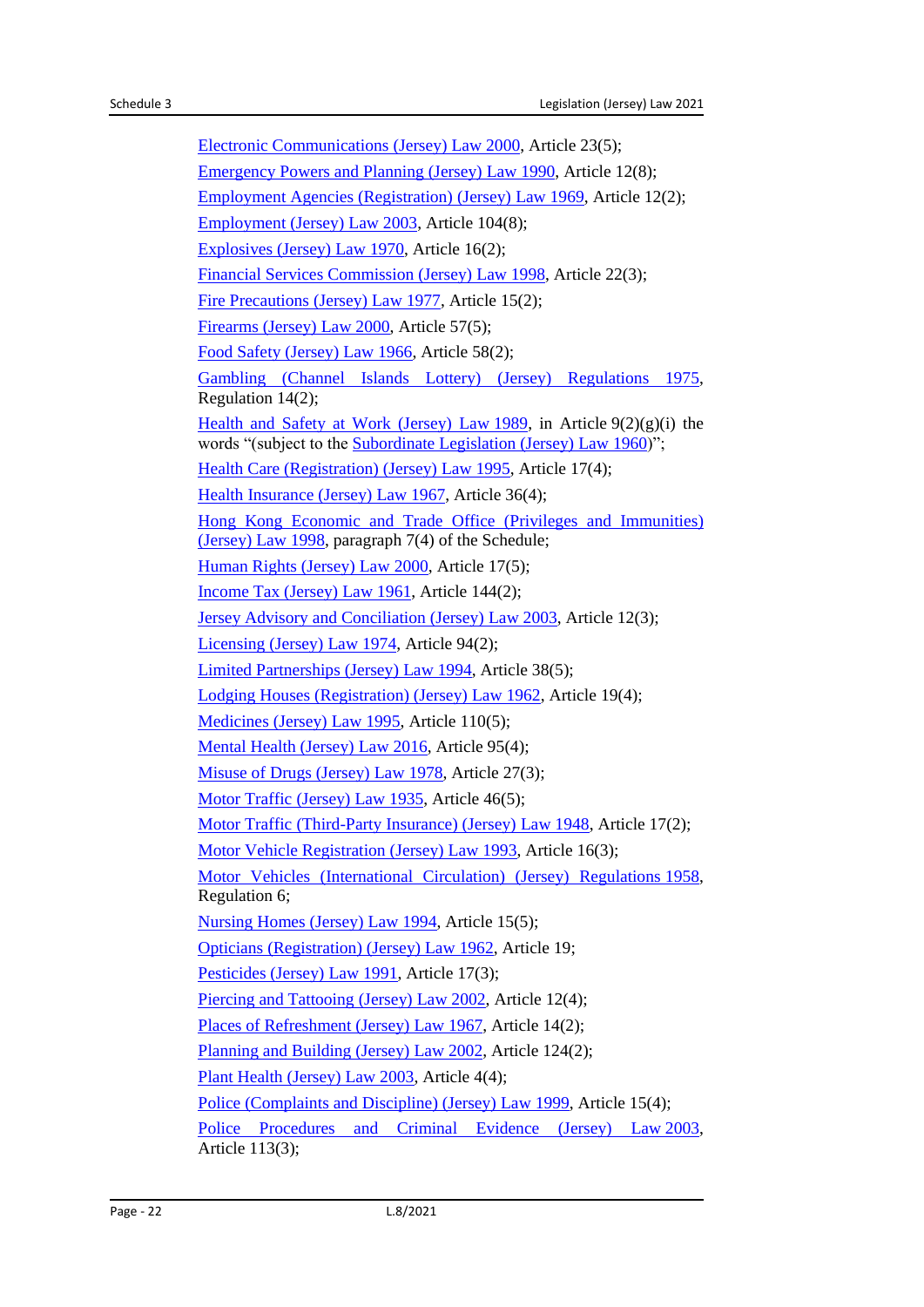[Electronic Communications \(Jersey\) Law](https://www.jerseylaw.je/laws/unofficialconsolidated/Pages/04.280.aspx) 2000, Article 23(5); [Emergency Powers and Planning \(Jersey\) Law](https://www.jerseylaw.je/laws/unofficialconsolidated/Pages/23.100.aspx) 1990, Article 12(8); [Employment Agencies \(Registration\) \(Jersey\) Law](https://www.jerseylaw.je/laws/unofficialconsolidated/Pages/05.250.aspx) 1969, Article 12(2); [Employment \(Jersey\) Law](https://www.jerseylaw.je/laws/unofficialconsolidated/Pages/05.255.aspx) 2003, Article 104(8); [Explosives \(Jersey\) Law](https://www.jerseylaw.je/laws/unofficialconsolidated/Pages/23.125.aspx) 1970, Article 16(2); [Financial Services Commission \(Jersey\) Law](https://www.jerseylaw.je/laws/unofficialconsolidated/Pages/13.250.aspx) 1998, Article 22(3); [Fire Precautions \(Jersey\) Law](https://www.jerseylaw.je/laws/unofficialconsolidated/Pages/23.150.aspx) 1977, Article 15(2); [Firearms \(Jersey\) Law](https://www.jerseylaw.je/laws/unofficialconsolidated/Pages/23.200.aspx) 2000, Article 57(5); [Food Safety \(Jersey\) Law](https://www.jerseylaw.je/laws/unofficialconsolidated/Pages/20.225.aspx) 1966, Article 58(2); [Gambling \(Channel Islands Lottery\) \(Jersey\) Regulations 1975,](https://www.jerseylaw.je/laws/unofficialconsolidated/Pages/11.300.30.aspx) Regulation 14(2); [Health and Safety at Work \(Jersey\) Law](https://www.jerseylaw.je/laws/unofficialconsolidated/Pages/05.300.aspx) 1989, in Article  $9(2)(g)(i)$  the words "(subject to the [Subordinate Legislation \(Jersey\) Law](https://www.jerseylaw.je/laws/unofficialconsolidated/Pages/15.720.aspx) 1960)"; [Health Care \(Registration\) \(Jersey\) Law](https://www.jerseylaw.je/laws/unofficialconsolidated/Pages/20.300.aspx) 1995, Article 17(4); [Health Insurance \(Jersey\) Law](https://www.jerseylaw.je/laws/unofficialconsolidated/Pages/26.500.aspx) 1967, Article 36(4); [Hong Kong Economic and Trade Office \(Privileges and Immunities\)](https://www.jerseylaw.je/laws/unofficialconsolidated/Pages/21.665.aspx)  [\(Jersey\) Law](https://www.jerseylaw.je/laws/unofficialconsolidated/Pages/21.665.aspx) 1998, paragraph 7(4) of the Schedule; [Human Rights \(Jersey\) Law](https://www.jerseylaw.je/laws/unofficialconsolidated/Pages/15.350.aspx) 2000, Article 17(5); [Income Tax \(Jersey\) Law](https://www.jerseylaw.je/laws/unofficialconsolidated/Pages/24.750.aspx) 1961, Article 144(2); [Jersey Advisory and Conciliation \(Jersey\) Law](https://www.jerseylaw.je/laws/unofficialconsolidated/Pages/05.400.aspx) 2003, Article 12(3); [Licensing \(Jersey\) Law](https://www.jerseylaw.je/laws/unofficialconsolidated/Pages/11.450.aspx) 1974, Article 94(2); [Limited Partnerships \(Jersey\) Law](https://www.jerseylaw.je/laws/unofficialconsolidated/Pages/13.500.aspx) 1994, Article 38(5); [Lodging Houses \(Registration\) \(Jersey\) Law](https://www.jerseylaw.je/laws/unofficialconsolidated/Pages/05.450.aspx) 1962, Article 19(4); [Medicines \(Jersey\) Law](https://www.jerseylaw.je/laws/unofficialconsolidated/Pages/20.625.aspx) 1995, Article 110(5); [Mental Health \(Jersey\) Law](https://www.jerseylaw.je/laws/unofficialconsolidated/Pages/20.650.aspx) 2016, Article 95(4); [Misuse of Drugs \(Jersey\) Law](https://www.jerseylaw.je/laws/unofficialconsolidated/Pages/08.680.aspx) 1978, Article 27(3); [Motor Traffic \(Jersey\) Law](https://www.jerseylaw.je/laws/unofficialconsolidated/Pages/25.200.aspx) 1935, Article 46(5); [Motor Traffic \(Third-Party Insurance\) \(Jersey\) Law](https://www.jerseylaw.je/laws/unofficialconsolidated/Pages/25.250.aspx) 1948, Article 17(2); [Motor Vehicle Registration \(Jersey\) Law](https://www.jerseylaw.je/laws/unofficialconsolidated/Pages/25.350.aspx) 1993, Article 16(3); [Motor Vehicles \(International Circulation\) \(Jersey\) Regulations](https://www.jerseylaw.je/laws/unofficialconsolidated/Pages/25.400.50.aspx) 1958, Regulation 6; [Nursing Homes \(Jersey\) Law](https://www.jerseylaw.je/laws/unofficialconsolidated/Pages/20.725.aspx) 1994, Article 15(5); [Opticians \(Registration\) \(Jersey\) Law](https://www.jerseylaw.je/laws/unofficialconsolidated/Pages/20.750.aspx) 1962, Article 19; [Pesticides \(Jersey\) Law](https://www.jerseylaw.je/laws/unofficialconsolidated/Pages/01.880.aspx) 1991, Article 17(3); [Piercing and Tattooing \(Jersey\) Law](https://www.jerseylaw.je/laws/unofficialconsolidated/Pages/20.900.aspx) 2002, Article 12(4); [Places of Refreshment \(Jersey\) Law](https://www.jerseylaw.je/laws/unofficialconsolidated/Pages/11.600.aspx) 1967, Article 14(2); [Planning and Building \(Jersey\) Law](https://www.jerseylaw.je/laws/unofficialconsolidated/Pages/22.550.aspx) 2002, Article 124(2); [Plant Health \(Jersey\) Law](https://www.jerseylaw.je/laws/unofficialconsolidated/Pages/01.885.aspx) 2003, Article 4(4); [Police \(Complaints and Discipline\) \(Jersey\) Law](https://www.jerseylaw.je/laws/unofficialconsolidated/Pages/23.325.aspx) 1999, Article 15(4); [Police Procedures and Criminal Evidence \(Jersey\) Law](https://www.jerseylaw.je/laws/unofficialconsolidated/Pages/23.750.aspx) 2003, Article 113(3);